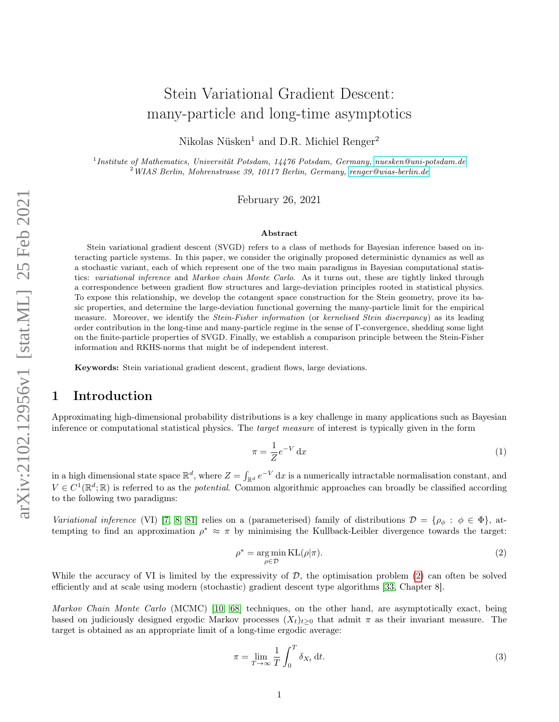# Stein Variational Gradient Descent: many-particle and long-time asymptotics

Nikolas Nüsken<sup>1</sup> and D.R. Michiel Renger<sup>2</sup>

<sup>1</sup> Institute of Mathematics, Universität Potsdam, 14476 Potsdam, Germany, [nuesken@uni-potsdam.de](mailto:nuesken@uni-potsdam.de) <sup>2</sup>WIAS Berlin, Mohrenstrasse 39, 10117 Berlin, Germany, [renger@wias-berlin.de](mailto:renger@wias-berlin.de)

February 26, 2021

#### Abstract

Stein variational gradient descent (SVGD) refers to a class of methods for Bayesian inference based on interacting particle systems. In this paper, we consider the originally proposed deterministic dynamics as well as a stochastic variant, each of which represent one of the two main paradigms in Bayesian computational statistics: variational inference and Markov chain Monte Carlo. As it turns out, these are tightly linked through a correspondence between gradient flow structures and large-deviation principles rooted in statistical physics. To expose this relationship, we develop the cotangent space construction for the Stein geometry, prove its basic properties, and determine the large-deviation functional governing the many-particle limit for the empirical measure. Moreover, we identify the *Stein-Fisher information* (or kernelised *Stein discrepancy*) as its leading order contribution in the long-time and many-particle regime in the sense of Γ-convergence, shedding some light on the finite-particle properties of SVGD. Finally, we establish a comparison principle between the Stein-Fisher information and RKHS-norms that might be of independent interest.

Keywords: Stein variational gradient descent, gradient flows, large deviations.

# 1 Introduction

Approximating high-dimensional probability distributions is a key challenge in many applications such as Bayesian inference or computational statistical physics. The target measure of interest is typically given in the form

<span id="page-0-2"></span>
$$
\pi = \frac{1}{Z} e^{-V} dx \tag{1}
$$

in a high dimensional state space  $\mathbb{R}^d$ , where  $Z = \int_{\mathbb{R}^d} e^{-V} dx$  is a numerically intractable normalisation constant, and  $V \in C^1(\mathbb{R}^d;\mathbb{R})$  is referred to as the *potential*. Common algorithmic approaches can broadly be classified according to the following two paradigms:

<span id="page-0-0"></span>Variational inference (VI) [\[7,](#page-21-0) [8,](#page-21-1) [81\]](#page-24-0) relies on a (parameterised) family of distributions  $\mathcal{D} = \{\rho_{\phi} : \phi \in \Phi\}$ , attempting to find an approximation  $\rho^* \approx \pi$  by minimising the Kullback-Leibler divergence towards the target:

$$
\rho^* = \underset{\rho \in \mathcal{D}}{\arg \min} \, \text{KL}(\rho|\pi). \tag{2}
$$

While the accuracy of VI is limited by the expressivity of  $D$ , the optimisation problem [\(2\)](#page-0-0) can often be solved efficiently and at scale using modern (stochastic) gradient descent type algorithms [\[33,](#page-22-0) Chapter 8].

Markov Chain Monte Carlo (MCMC) [\[10,](#page-21-2) [68\]](#page-23-0) techniques, on the other hand, are asymptotically exact, being based on judiciously designed ergodic Markov processes  $(X_t)_{t>0}$  that admit  $\pi$  as their invariant measure. The target is obtained as an appropriate limit of a long-time ergodic average:

<span id="page-0-1"></span>
$$
\pi = \lim_{T \to \infty} \frac{1}{T} \int_0^T \delta_{X_t} \, \mathrm{d}t. \tag{3}
$$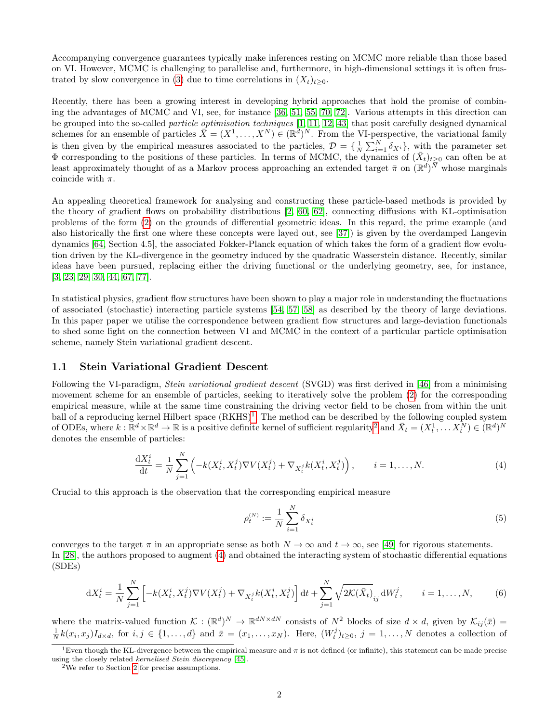Accompanying convergence guarantees typically make inferences resting on MCMC more reliable than those based on VI. However, MCMC is challenging to parallelise and, furthermore, in high-dimensional settings it is often frus-trated by slow convergence in [\(3\)](#page-0-1) due to time correlations in  $(X_t)_{t\geq 0}$ .

Recently, there has been a growing interest in developing hybrid approaches that hold the promise of combining the advantages of MCMC and VI, see, for instance [\[36,](#page-22-1) [51,](#page-23-1) [55,](#page-23-2) [70,](#page-24-1) [72\]](#page-24-2). Various attempts in this direction can be grouped into the so-called particle optimisation techniques [\[1,](#page-21-3) [11,](#page-21-4) [12,](#page-21-5) [43\]](#page-22-2) that posit carefully designed dynamical schemes for an ensemble of particles  $\bar{X} = (X^1, \ldots, X^N) \in (\mathbb{R}^d)^N$ . From the VI-perspective, the variational family is then given by the empirical measures associated to the particles,  $\mathcal{D} = \{\frac{1}{N} \sum_{i=1}^{N} \delta_{X_i}\}\,$ , with the parameter set  $\Phi$  corresponding to the positions of these particles. In terms of MCMC, the dynamics of  $(\bar{X}_t)_{t\geq0}$  can often be at least approximately thought of as a Markov process approaching an extended target  $\bar{\pi}$  on  $(\mathbb{R}^d)^{\bar{N}}$  whose marginals coincide with  $\pi$ .

An appealing theoretical framework for analysing and constructing these particle-based methods is provided by the theory of gradient flows on probability distributions [\[2,](#page-21-6) [60,](#page-23-3) [62\]](#page-23-4), connecting diffusions with KL-optimisation problems of the form [\(2\)](#page-0-0) on the grounds of differential geometric ideas. In this regard, the prime example (and also historically the first one where these concepts were layed out, see [\[37\]](#page-22-3)) is given by the overdamped Langevin dynamics [\[64,](#page-23-5) Section 4.5], the associated Fokker-Planck equation of which takes the form of a gradient flow evolution driven by the KL-divergence in the geometry induced by the quadratic Wasserstein distance. Recently, similar ideas have been pursued, replacing either the driving functional or the underlying geometry, see, for instance, [\[3,](#page-21-7) [23,](#page-21-8) [29,](#page-22-4) [30,](#page-22-5) [44,](#page-22-6) [67,](#page-23-6) [77\]](#page-24-3).

In statistical physics, gradient flow structures have been shown to play a major role in understanding the fluctuations of associated (stochastic) interacting particle systems [\[54,](#page-23-7) [57,](#page-23-8) [58\]](#page-23-9) as described by the theory of large deviations. In this paper paper we utilise the correspondence between gradient flow structures and large-deviation functionals to shed some light on the connection between VI and MCMC in the context of a particular particle optimisation scheme, namely Stein variational gradient descent.

#### <span id="page-1-5"></span>1.1 Stein Variational Gradient Descent

Following the VI-paradigm, *Stein variational gradient descent* (SVGD) was first derived in [\[46\]](#page-22-7) from a minimising movement scheme for an ensemble of particles, seeking to iteratively solve the problem [\(2\)](#page-0-0) for the corresponding empirical measure, while at the same time constraining the driving vector field to be chosen from within the unit ball of a reproducing kernel Hilbert space  $(RKHS)^{1}$  $(RKHS)^{1}$  $(RKHS)^{1}$ . The method can be described by the following coupled system of ODEs, where  $k : \mathbb{R}^d \times \mathbb{R}^d \to \mathbb{R}$  is a positive definite kernel of sufficient regularity<sup>[2](#page-1-1)</sup> and  $\bar{X}_t = (X_t^1, \dots, X_t^N) \in (\mathbb{R}^d)^N$ denotes the ensemble of particles:

<span id="page-1-2"></span>
$$
\frac{\mathrm{d}X_t^i}{\mathrm{d}t} = \frac{1}{N} \sum_{j=1}^N \left( -k(X_t^i, X_t^j) \nabla V(X_t^j) + \nabla_{X_t^j} k(X_t^i, X_t^j) \right), \qquad i = 1, \dots, N. \tag{4}
$$

Crucial to this approach is the observation that the corresponding empirical measure

<span id="page-1-4"></span>
$$
\rho_t^{(N)} := \frac{1}{N} \sum_{i=1}^N \delta_{X_t^i} \tag{5}
$$

converges to the target  $\pi$  in an appropriate sense as both  $N \to \infty$  and  $t \to \infty$ , see [\[49\]](#page-23-10) for rigorous statements. In [\[28\]](#page-22-8), the authors proposed to augment [\(4\)](#page-1-2) and obtained the interacting system of stochastic differential equations (SDEs)

<span id="page-1-3"></span>
$$
dX_t^i = \frac{1}{N} \sum_{j=1}^N \left[ -k(X_t^i, X_t^j) \nabla V(X_t^j) + \nabla_{X_t^j} k(X_t^i, X_t^j) \right] dt + \sum_{j=1}^N \sqrt{2\mathcal{K}(\bar{X}_t)}_{ij} dW_t^j, \qquad i = 1, ..., N,
$$
 (6)

where the matrix-valued function  $\mathcal{K} : (\mathbb{R}^d)^N \to \mathbb{R}^{dN \times dN}$  consists of  $N^2$  blocks of size  $d \times d$ , given by  $\mathcal{K}_{ij}(\bar{x}) =$  $\frac{1}{N}k(x_i,x_j)I_{d\times d}$ , for  $i,j \in \{1,\ldots,d\}$  and  $\bar{x}=(x_1,\ldots,x_N)$ . Here,  $(W_t^j)_{t\geq 0}$ ,  $j=1,\ldots,N$  denotes a collection of

<span id="page-1-0"></span><sup>&</sup>lt;sup>1</sup>Even though the KL-divergence between the empirical measure and  $\pi$  is not defined (or infinite), this statement can be made precise using the closely related kernelised Stein discrepancy [\[45\]](#page-22-9).

<span id="page-1-1"></span><sup>2</sup>We refer to Section [2](#page-4-0) for precise assumptions.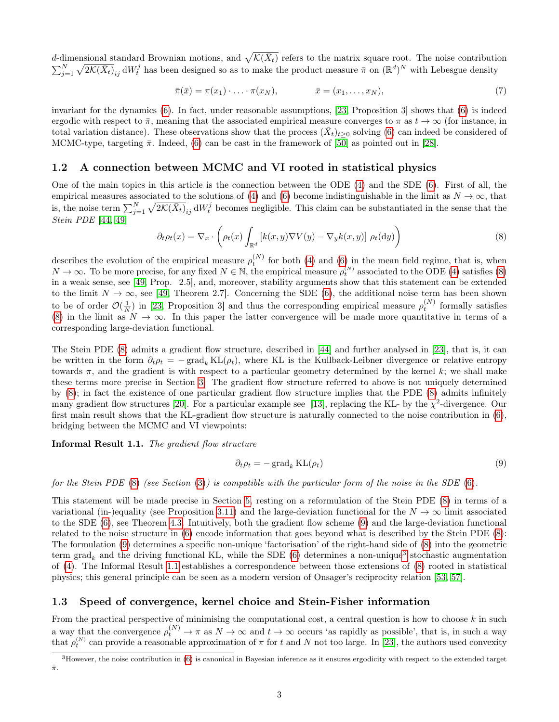d-dimensional standard Brownian motions, and  $\sqrt{\mathcal{K}(\bar{X}_t)}$  refers to the matrix square root. The noise contribution  $\sum_{j=1}^N \sqrt{2\mathcal{K}(\bar{X}_t)}_{ij}$  d $W_t^j$  has been designed so as to make the product measure  $\bar{\pi}$  on  $(\mathbb{R}^d)^N$  with Lebesgue density

$$
\bar{\pi}(\bar{x}) = \pi(x_1) \cdot \ldots \cdot \pi(x_N), \qquad \bar{x} = (x_1, \ldots, x_N), \qquad (7)
$$

invariant for the dynamics [\(6\)](#page-1-3). In fact, under reasonable assumptions, [\[23,](#page-21-8) Proposition 3] shows that [\(6\)](#page-1-3) is indeed ergodic with respect to  $\bar{\pi}$ , meaning that the associated empirical measure converges to  $\pi$  as  $t \to \infty$  (for instance, in total variation distance). These observations show that the process  $(\bar{X}_t)_{t\geq 0}$  solving [\(6\)](#page-1-3) can indeed be considered of MCMC-type, targeting  $\bar{\pi}$ . Indeed, [\(6\)](#page-1-3) can be cast in the framework of [\[50\]](#page-23-11) as pointed out in [\[28\]](#page-22-8).

#### <span id="page-2-3"></span>1.2 A connection between MCMC and VI rooted in statistical physics

One of the main topics in this article is the connection between the ODE [\(4\)](#page-1-2) and the SDE [\(6\)](#page-1-3). First of all, the empirical measures associated to the solutions of [\(4\)](#page-1-2) and [\(6\)](#page-1-3) become indistinguishable in the limit as  $N \to \infty$ , that is, the noise term  $\sum_{j=1}^{N} \sqrt{2\mathcal{K}(\bar{X}_t)}_{ij}$  d $W_t^j$  becomes negligible. This claim can be substantiated in the sense that the Stein PDE [\[44,](#page-22-6) [49\]](#page-23-10)

<span id="page-2-0"></span>
$$
\partial_t \rho_t(x) = \nabla_x \cdot \left( \rho_t(x) \int_{\mathbb{R}^d} \left[ k(x, y) \nabla V(y) - \nabla_y k(x, y) \right] \rho_t(\mathrm{d}y) \right) \tag{8}
$$

describes the evolution of the empirical measure  $\rho_t^{(N)}$  for both [\(4\)](#page-1-2) and [\(6\)](#page-1-3) in the mean field regime, that is, when  $N \to \infty$ . To be more precise, for any fixed  $N \in \mathbb{N}$ , the empirical measure  $\rho_t^{(N)}$  associated to the ODE [\(4\)](#page-1-2) satisfies [\(8\)](#page-2-0) in a weak sense, see [\[49,](#page-23-10) Prop. 2.5], and, moreover, stability arguments show that this statement can be extended to the limit  $N \to \infty$ , see [\[49,](#page-23-10) Theorem 2.7]. Concerning the SDE [\(6\)](#page-1-3), the additional noise term has been shown to be of order  $\mathcal{O}(\frac{1}{N})$  in [\[23,](#page-21-8) Proposition 3] and thus the corresponding empirical measure  $\rho_t^{(N)}$  formally satisfies [\(8\)](#page-2-0) in the limit as  $N \to \infty$ . In this paper the latter convergence will be made more quantitative in terms of a corresponding large-deviation functional.

The Stein PDE [\(8\)](#page-2-0) admits a gradient flow structure, described in [\[44\]](#page-22-6) and further analysed in [\[23\]](#page-21-8), that is, it can be written in the form  $\partial_t \rho_t = -\text{grad}_k \text{KL}(\rho_t)$ , where KL is the Kullback-Leibner divergence or relative entropy towards  $\pi$ , and the gradient is with respect to a particular geometry determined by the kernel k; we shall make these terms more precise in Section [3.](#page-6-0) The gradient flow structure referred to above is not uniquely determined by [\(8\)](#page-2-0); in fact the existence of one particular gradient flow structure implies that the PDE [\(8\)](#page-2-0) admits infinitely many gradient flow structures [\[20\]](#page-21-9). For a particular example see [\[13\]](#page-21-10), replacing the KL- by the  $\chi^2$ -divergence. Our first main result shows that the KL-gradient flow structure is naturally connected to the noise contribution in [\(6\)](#page-1-3), bridging between the MCMC and VI viewpoints:

Informal Result 1.1. The gradient flow structure

<span id="page-2-1"></span>
$$
\partial_t \rho_t = -\operatorname{grad}_k \mathrm{KL}(\rho_t) \tag{9}
$$

for the Stein PDE [\(8\)](#page-2-0) (see Section [\(3\)](#page-6-0)) is compatible with the particular form of the noise in the SDE [\(6\)](#page-1-3).

This statement will be made precise in Section [5,](#page-14-0) resting on a reformulation of the Stein PDE [\(8\)](#page-2-0) in terms of a variational (in-)equality (see Proposition [3.11\)](#page-10-0) and the large-deviation functional for the  $N \to \infty$  limit associated to the SDE [\(6\)](#page-1-3), see Theorem [4.3.](#page-11-0) Intuitively, both the gradient flow scheme [\(9\)](#page-2-1) and the large-deviation functional related to the noise structure in [\(6\)](#page-1-3) encode information that goes beyond what is described by the Stein PDE [\(8\)](#page-2-0): The formulation [\(9\)](#page-2-1) determines a specific non-unique 'factorisation' of the right-hand side of [\(8\)](#page-2-0) into the geometric term grad<sub>k</sub> and the driving functional KL, while the SDE  $(6)$  determines a non-unique<sup>[3](#page-2-2)</sup> stochastic augmentation of [\(4\)](#page-1-2). The Informal Result [1.1](#page-2-1) establishes a correspondence between those extensions of [\(8\)](#page-2-0) rooted in statistical physics; this general principle can be seen as a modern version of Onsager's reciprocity relation [\[53,](#page-23-12) [57\]](#page-23-8).

#### 1.3 Speed of convergence, kernel choice and Stein-Fisher information

From the practical perspective of minimising the computational cost, a central question is how to choose  $k$  in such a way that the convergence  $\rho_t^{(N)} \to \pi$  as  $N \to \infty$  and  $t \to \infty$  occurs 'as rapidly as possible', that is, in such a way that  $\rho_t^{(N)}$  can provide a reasonable approximation of  $\pi$  for t and N not too large. In [\[23\]](#page-21-8), the authors used convexity

<span id="page-2-2"></span> $3H$ owever, the noise contribution in [\(6\)](#page-1-3) is canonical in Bayesian inference as it ensures ergodicity with respect to the extended target  $\bar{\pi}.$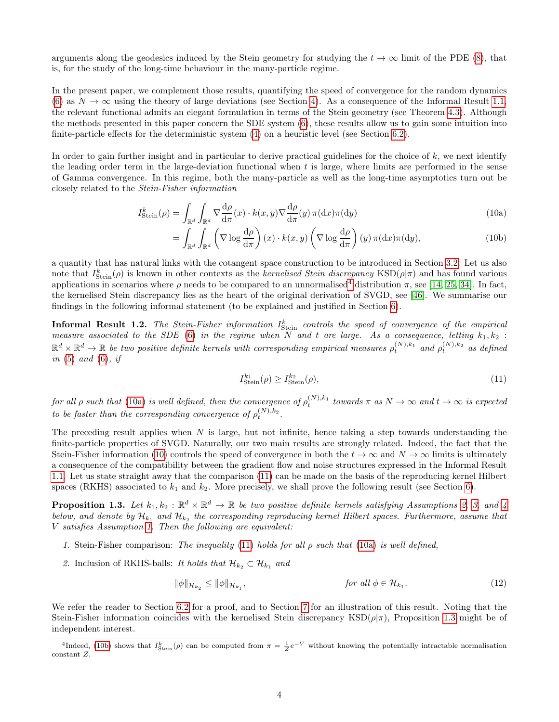arguments along the geodesics induced by the Stein geometry for studying the  $t \to \infty$  limit of the PDE [\(8\)](#page-2-0), that is, for the study of the long-time behaviour in the many-particle regime.

In the present paper, we complement those results, quantifying the speed of convergence for the random dynamics [\(6\)](#page-1-3) as  $N \to \infty$  using the theory of large deviations (see Section [4\)](#page-11-1). As a consequence of the Informal Result [1.1,](#page-2-1) the relevant functional admits an elegant formulation in terms of the Stein geometry (see Theorem [4.3\)](#page-11-0). Although the methods presented in this paper concern the SDE system [\(6\)](#page-1-3), these results allow us to gain some intuition into finite-particle effects for the deterministic system [\(4\)](#page-1-2) on a heuristic level (see Section [6.2\)](#page-18-0).

In order to gain further insight and in particular to derive practical guidelines for the choice of  $k$ , we next identify the leading order term in the large-deviation functional when  $t$  is large, where limits are performed in the sense of Gamma convergence. In this regime, both the many-particle as well as the long-time asymptotics turn out be closely related to the Stein-Fisher information

$$
I_{\text{Stein}}^{k}(\rho) = \int_{\mathbb{R}^{d}} \int_{\mathbb{R}^{d}} \nabla \frac{d\rho}{d\pi}(x) \cdot k(x, y) \nabla \frac{d\rho}{d\pi}(y) \pi(dx) \pi(dy)
$$
\n(10a)

<span id="page-3-1"></span>
$$
= \int_{\mathbb{R}^d} \int_{\mathbb{R}^d} \left( \nabla \log \frac{d\rho}{d\pi} \right) (x) \cdot k(x, y) \left( \nabla \log \frac{d\rho}{d\pi} \right) (y) \, \pi(\mathrm{d}x) \pi(\mathrm{d}y), \tag{10b}
$$

a quantity that has natural links with the cotangent space construction to be introduced in Section [3.2.](#page-8-0) Let us also note that  $I_{Stein}^{k}(\rho)$  is known in other contexts as the *kernelised Stein discrepancy* KSD $(\rho|\pi)$  and has found various applications in scenarios where  $\rho$  needs to be compared to an unnormalised<sup>[4](#page-3-0)</sup> distribution  $\pi$ , see [\[14,](#page-21-11) [25,](#page-22-10) [34\]](#page-22-11). In fact, the kernelised Stein discrepancy lies as the heart of the original derivation of SVGD, see [\[46\]](#page-22-7). We summarise our findings in the following informal statement (to be explained and justified in Section [6\)](#page-16-0).

<span id="page-3-4"></span>**Informal Result 1.2.** The Stein-Fisher information  $I_{Stein}^k$  controls the speed of convergence of the empirical measure associated to the SDE [\(6\)](#page-1-3) in the regime when N and t are large. As a consequence, letting  $k_1, k_2$ :  $\mathbb{R}^d \times \mathbb{R}^d \to \mathbb{R}$  be two positive definite kernels with corresponding empirical measures  $\rho_t^{(N),k_1}$  and  $\rho_t^{(N),k_2}$  as defined in  $(5)$  and  $(6)$ , if

<span id="page-3-2"></span>
$$
I_{\text{Stein}}^{k_1}(\rho) \ge I_{\text{Stein}}^{k_2}(\rho),\tag{11}
$$

for all  $\rho$  such that [\(10a\)](#page-0-2) is well defined, then the convergence of  $\rho_t^{(N),k_1}$  towards  $\pi$  as  $N\to\infty$  and  $t\to\infty$  is expected to be faster than the corresponding convergence of  $\rho_t^{(N),k_2}$ .

The preceding result applies when  $N$  is large, but not infinite, hence taking a step towards understanding the finite-particle properties of SVGD. Naturally, our two main results are strongly related. Indeed, the fact that the Stein-Fisher information [\(10\)](#page-3-1) controls the speed of convergence in both the  $t \to \infty$  and  $N \to \infty$  limits is ultimately a consequence of the compatibility between the gradient flow and noise structures expressed in the Informal Result [1.1.](#page-2-1) Let us state straight away that the comparison [\(11\)](#page-3-2) can be made on the basis of the reproducing kernel Hilbert spaces (RKHS) associated to  $k_1$  and  $k_2$ . More precisely, we shall prove the following result (see Section [6\)](#page-16-0).

<span id="page-3-3"></span>**Proposition 1.3.** Let  $k_1, k_2 : \mathbb{R}^d \times \mathbb{R}^d \to \mathbb{R}$  be two positive definite kernels satisfying Assumptions [2,](#page-5-0) [3,](#page-5-1) and [4](#page-5-2) below, and denote by  $\mathcal{H}_{k_1}$  and  $\mathcal{H}_{k_2}$  the corresponding reproducing kernel Hilbert spaces. Furthermore, assume that V satisfies Assumption [1.](#page-4-1) Then the following are equivalent:

- <span id="page-3-6"></span>1. Stein-Fisher comparison: The inequality [\(11\)](#page-3-2) holds for all  $\rho$  such that [\(10a\)](#page-0-2) is well defined,
- <span id="page-3-5"></span>2. Inclusion of RKHS-balls: It holds that  $\mathcal{H}_{k_2} \subset \mathcal{H}_{k_1}$  and

$$
\|\phi\|_{\mathcal{H}_{k_2}} \le \|\phi\|_{\mathcal{H}_{k_1}},\tag{12}
$$

We refer the reader to Section [6.2](#page-18-0) for a proof, and to Section [7](#page-19-0) for an illustration of this result. Noting that the Stein-Fisher information coincides with the kernelised Stein discrepancy  $\text{KSD}(\rho|\pi)$ , Proposition [1.3](#page-3-3) might be of independent interest.

<span id="page-3-0"></span><sup>&</sup>lt;sup>4</sup>Indeed, [\(10b\)](#page-0-0) shows that  $I_{Stein}^k(\rho)$  can be computed from  $\pi = \frac{1}{Z}e^{-V}$  without knowing the potentially intractable normalisation constant Z.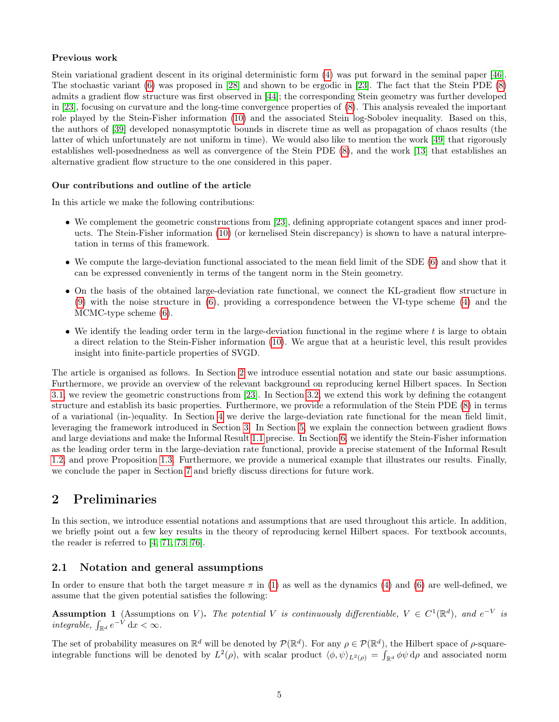#### Previous work

Stein variational gradient descent in its original deterministic form [\(4\)](#page-1-2) was put forward in the seminal paper [\[46\]](#page-22-7). The stochastic variant [\(6\)](#page-1-3) was proposed in [\[28\]](#page-22-8) and shown to be ergodic in [\[23\]](#page-21-8). The fact that the Stein PDE [\(8\)](#page-2-0) admits a gradient flow structure was first observed in [\[44\]](#page-22-6); the corresponding Stein geometry was further developed in [\[23\]](#page-21-8), focusing on curvature and the long-time convergence properties of [\(8\)](#page-2-0). This analysis revealed the important role played by the Stein-Fisher information [\(10\)](#page-3-1) and the associated Stein log-Sobolev inequality. Based on this, the authors of [\[39\]](#page-22-12) developed nonasymptotic bounds in discrete time as well as propagation of chaos results (the latter of which unfortunately are not uniform in time). We would also like to mention the work [\[49\]](#page-23-10) that rigorously establishes well-posednedness as well as convergence of the Stein PDE [\(8\)](#page-2-0), and the work [\[13\]](#page-21-10) that establishes an alternative gradient flow structure to the one considered in this paper.

#### Our contributions and outline of the article

In this article we make the following contributions:

- We complement the geometric constructions from [\[23\]](#page-21-8), defining appropriate cotangent spaces and inner products. The Stein-Fisher information [\(10\)](#page-3-1) (or kernelised Stein discrepancy) is shown to have a natural interpretation in terms of this framework.
- We compute the large-deviation functional associated to the mean field limit of the SDE [\(6\)](#page-1-3) and show that it can be expressed conveniently in terms of the tangent norm in the Stein geometry.
- On the basis of the obtained large-deviation rate functional, we connect the KL-gradient flow structure in [\(9\)](#page-2-1) with the noise structure in [\(6\)](#page-1-3), providing a correspondence between the VI-type scheme [\(4\)](#page-1-2) and the MCMC-type scheme [\(6\)](#page-1-3).
- We identify the leading order term in the large-deviation functional in the regime where  $t$  is large to obtain a direct relation to the Stein-Fisher information [\(10\)](#page-3-1). We argue that at a heuristic level, this result provides insight into finite-particle properties of SVGD.

The article is organised as follows. In Section [2](#page-4-0) we introduce essential notation and state our basic assumptions. Furthermore, we provide an overview of the relevant background on reproducing kernel Hilbert spaces. In Section [3.1,](#page-7-0) we review the geometric constructions from [\[23\]](#page-21-8). In Section [3.2,](#page-8-0) we extend this work by defining the cotangent structure and establish its basic properties. Furthermore, we provide a reformulation of the Stein PDE [\(8\)](#page-2-0) in terms of a variational (in-)equality. In Section [4](#page-11-1) we derive the large-deviation rate functional for the mean field limit, leveraging the framework introduced in Section [3.](#page-6-0) In Section [5,](#page-14-0) we explain the connection between gradient flows and large deviations and make the Informal Result [1.1](#page-2-1) precise. In Section [6,](#page-16-0) we identify the Stein-Fisher information as the leading order term in the large-deviation rate functional, provide a precise statement of the Informal Result [1.2,](#page-3-4) and prove Proposition [1.3.](#page-3-3) Furthermore, we provide a numerical example that illustrates our results. Finally, we conclude the paper in Section [7](#page-19-0) and briefly discuss directions for future work.

# <span id="page-4-0"></span>2 Preliminaries

In this section, we introduce essential notations and assumptions that are used throughout this article. In addition, we briefly point out a few key results in the theory of reproducing kernel Hilbert spaces. For textbook accounts, the reader is referred to [\[4,](#page-21-12) [71,](#page-24-4) [73,](#page-24-5) [76\]](#page-24-6).

### 2.1 Notation and general assumptions

In order to ensure that both the target measure  $\pi$  in [\(1\)](#page-0-2) as well as the dynamics [\(4\)](#page-1-2) and [\(6\)](#page-1-3) are well-defined, we assume that the given potential satisfies the following:

<span id="page-4-1"></span>**Assumption 1** (Assumptions on V). The potential V is continuously differentiable,  $V \in C^1(\mathbb{R}^d)$ , and  $e^{-V}$  is integrable,  $\int_{\mathbb{R}^d} e^{-V} dx < \infty$ .

The set of probability measures on  $\mathbb{R}^d$  will be denoted by  $\mathcal{P}(\mathbb{R}^d)$ . For any  $\rho \in \mathcal{P}(\mathbb{R}^d)$ , the Hilbert space of  $\rho$ -squareintegrable functions will be denoted by  $L^2(\rho)$ , with scalar product  $\langle \phi, \psi \rangle_{L^2(\rho)} = \int_{\mathbb{R}^d} \phi \psi \, d\rho$  and associated norm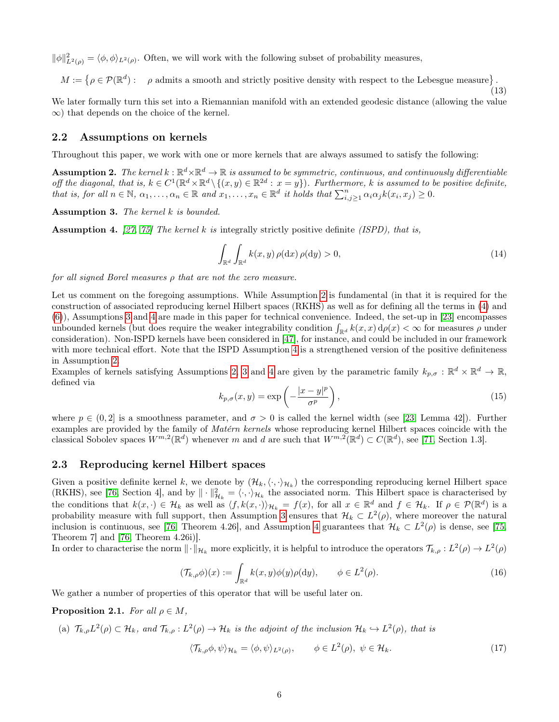$\|\phi\|_{L^2(\rho)}^2 = \langle \phi, \phi \rangle_{L^2(\rho)}$ . Often, we will work with the following subset of probability measures,

 $M := \{ \rho \in \mathcal{P}(\mathbb{R}^d) : \rho \text{ admits a smooth and strictly positive density with respect to the Lebesgue measure} \}.$ 

We later formally turn this set into a Riemannian manifold with an extended geodesic distance (allowing the value ∞) that depends on the choice of the kernel.

#### 2.2 Assumptions on kernels

Throughout this paper, we work with one or more kernels that are always assumed to satisfy the following:

<span id="page-5-0"></span>**Assumption 2.** The kernel  $k:\mathbb{R}^d\times\mathbb{R}^d\to\mathbb{R}$  is assumed to be symmetric, continuous, and continuously differentiable off the diagonal, that is,  $k \in C^1(\mathbb{R}^d \times \mathbb{R}^d \setminus \{(x, y) \in \mathbb{R}^{2d} : x = y\})$ . Furthermore, k is assumed to be positive definite, that is, for all  $n \in \mathbb{N}$ ,  $\alpha_1, \ldots, \alpha_n \in \mathbb{R}$  and  $x_1, \ldots, x_n \in \mathbb{R}^d$  it holds that  $\sum_{i,j\geq 1}^n \alpha_i \alpha_j k(x_i, x_j) \geq 0$ .

<span id="page-5-1"></span>Assumption 3. The kernel k is bounded.

<span id="page-5-2"></span>**Assumption 4.** [\[27,](#page-22-13) [75\]](#page-24-7) The kernel k is integrally strictly positive definite (ISPD), that is,

$$
\int_{\mathbb{R}^d} \int_{\mathbb{R}^d} k(x, y) \, \rho(\mathrm{d}x) \, \rho(\mathrm{d}y) > 0,\tag{14}
$$

<span id="page-5-6"></span>(13)

for all signed Borel measures ρ that are not the zero measure.

Let us comment on the foregoing assumptions. While Assumption [2](#page-5-0) is fundamental (in that it is required for the construction of associated reproducing kernel Hilbert spaces (RKHS) as well as for defining all the terms in [\(4\)](#page-1-2) and [\(6\)](#page-1-3)), Assumptions [3](#page-5-1) and [4](#page-5-2) are made in this paper for technical convenience. Indeed, the set-up in [\[23\]](#page-21-8) encompasses unbounded kernels (but does require the weaker integrability condition  $\int_{\mathbb{R}^d} k(x, x) d\rho(x) < \infty$  for measures  $\rho$  under consideration). Non-ISPD kernels have been considered in [\[47\]](#page-23-13), for instance, and could be included in our framework with more technical effort. Note that the ISPD Assumption [4](#page-5-2) is a strengthened version of the positive definiteness in Assumption [2.](#page-5-0)

Examples of kernels satisfying Assumptions [2,](#page-5-0) [3](#page-5-1) and [4](#page-5-2) are given by the parametric family  $k_{p,\sigma}: \mathbb{R}^d \times \mathbb{R}^d \to \mathbb{R}$ , defined via

$$
k_{p,\sigma}(x,y) = \exp\left(-\frac{|x-y|^p}{\sigma^p}\right),\tag{15}
$$

where  $p \in (0, 2]$  is a smoothness parameter, and  $\sigma > 0$  is called the kernel width (see [\[23,](#page-21-8) Lemma 42]). Further examples are provided by the family of Matérn kernels whose reproducing kernel Hilbert spaces coincide with the classical Sobolev spaces  $W^{m,2}(\mathbb{R}^d)$  whenever m and d are such that  $W^{m,2}(\mathbb{R}^d) \subset C(\mathbb{R}^d)$ , see [\[71,](#page-24-4) Section 1.3].

### 2.3 Reproducing kernel Hilbert spaces

Given a positive definite kernel k, we denote by  $(\mathcal{H}_k,\langle\cdot,\cdot\rangle_{\mathcal{H}_k})$  the corresponding reproducing kernel Hilbert space (RKHS), see [\[76,](#page-24-6) Section 4], and by  $\|\cdot\|_{\mathcal{H}_k}^2 = \langle \cdot, \cdot \rangle_{\mathcal{H}_k}$  the associated norm. This Hilbert space is characterised by the conditions that  $k(x, \cdot) \in \mathcal{H}_k$  as well as  $\langle f, k(x, \cdot) \rangle_{\mathcal{H}_k} = f(x)$ , for all  $x \in \mathbb{R}^d$  and  $f \in \mathcal{H}_k$ . If  $\rho \in \mathcal{P}(\mathbb{R}^d)$  is a probability measure with full support, then Assumption [3](#page-5-1) ensures that  $\mathcal{H}_k \subset L^2(\rho)$ , where moreover the natural inclusion is continuous, see [\[76,](#page-24-6) Theorem [4](#page-5-2).26], and Assumption 4 guarantees that  $\mathcal{H}_k \subset L^2(\rho)$  is dense, see [\[75,](#page-24-7) Theorem 7] and [\[76,](#page-24-6) Theorem 4.26i)].

<span id="page-5-4"></span>In order to characterise the norm  $\|\cdot\|_{\mathcal{H}_k}$  more explicitly, it is helpful to introduce the operators  $\mathcal{T}_{k,\rho}: L^2(\rho) \to L^2(\rho)$ 

<span id="page-5-3"></span>
$$
(\mathcal{T}_{k,\rho}\phi)(x) := \int_{\mathbb{R}^d} k(x,y)\phi(y)\rho(\mathrm{d}y), \qquad \phi \in L^2(\rho). \tag{16}
$$

We gather a number of properties of this operator that will be useful later on.

<span id="page-5-5"></span>**Proposition 2.1.** For all  $\rho \in M$ ,

(a) 
$$
\mathcal{T}_{k,\rho}L^2(\rho) \subset \mathcal{H}_k
$$
, and  $\mathcal{T}_{k,\rho}: L^2(\rho) \to \mathcal{H}_k$  is the adjoint of the inclusion  $\mathcal{H}_k \hookrightarrow L^2(\rho)$ , that is  

$$
\langle \mathcal{T}_{k,\rho}\phi, \psi \rangle_{\mathcal{H}_k} = \langle \phi, \psi \rangle_{L^2(\rho)}, \qquad \phi \in L^2(\rho), \ \psi \in \mathcal{H}_k.
$$
 (17)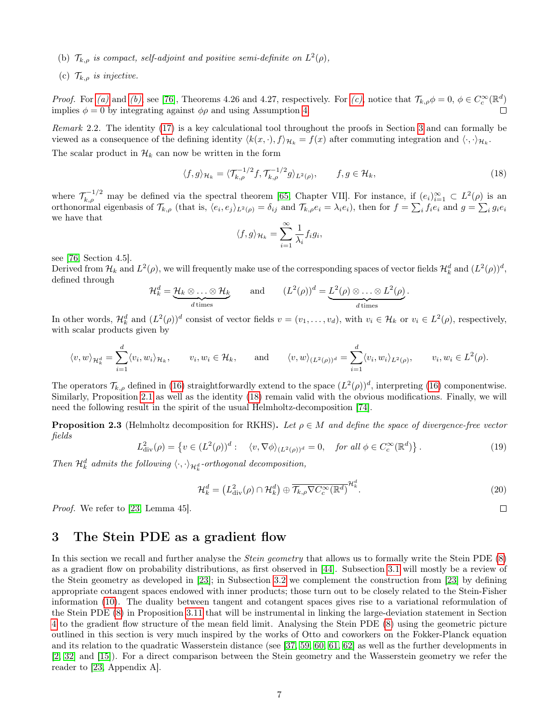- <span id="page-6-1"></span>(b)  $\mathcal{T}_{k,\rho}$  is compact, self-adjoint and positive semi-definite on  $L^2(\rho)$ ,
- <span id="page-6-2"></span>(c)  $\mathcal{T}_{k,\rho}$  is injective.

*Proof.* For [\(a\)](#page-5-3) and [\(b\)](#page-6-1), see [\[76\]](#page-24-6), Theorems 4.26 and 4.27, respectively. For [\(c\)](#page-6-2), notice that  $\mathcal{T}_{k,\rho}\phi=0, \ \phi\in C_c^{\infty}(\mathbb{R}^d)$ implies  $\phi = 0$  by integrating against  $\phi \rho$  and using Assumption [4.](#page-5-2)

Remark 2.2. The identity [\(17\)](#page-5-3) is a key calculational tool throughout the proofs in Section [3](#page-6-0) and can formally be viewed as a consequence of the defining identity  $\langle k(x, \cdot), f \rangle_{\mathcal{H}_k} = f(x)$  after commuting integration and  $\langle \cdot, \cdot \rangle_{\mathcal{H}_k}$ . The scalar product in  $\mathcal{H}_k$  can now be written in the form

$$
\langle f, g \rangle_{\mathcal{H}_k} = \langle \mathcal{T}_{k,\rho}^{-1/2} f, \mathcal{T}_{k,\rho}^{-1/2} g \rangle_{L^2(\rho)}, \qquad f, g \in \mathcal{H}_k,
$$
\n(18)

where  $\mathcal{T}_{k,\rho}^{-1/2}$  may be defined via the spectral theorem [\[65,](#page-23-14) Chapter VII]. For instance, if  $(e_i)_{i=1}^{\infty} \subset L^2(\rho)$  is an orthonormal eigenbasis of  $\mathcal{T}_{k,\rho}$  (that is,  $\langle e_i, e_j \rangle_{L^2(\rho)} = \delta_{ij}$  and  $\mathcal{T}_{k,\rho}e_i = \lambda_i e_i$ ), then for  $f = \sum_i f_i e_i$  and  $g = \sum_i g_i e_i$ we have that

<span id="page-6-3"></span>
$$
\langle f, g \rangle_{\mathcal{H}_k} = \sum_{i=1}^{\infty} \frac{1}{\lambda_i} f_i g_i,
$$

see [\[76,](#page-24-6) Section 4.5].

Derived from  $\mathcal{H}_k$  and  $L^2(\rho)$ , we will frequently make use of the corresponding spaces of vector fields  $\mathcal{H}_k^d$  and  $(L^2(\rho))^d$ , defined through

$$
\mathcal{H}_k^d = \underbrace{\mathcal{H}_k \otimes \ldots \otimes \mathcal{H}_k}_{d \text{ times}} \quad \text{and} \quad (L^2(\rho))^d = \underbrace{L^2(\rho) \otimes \ldots \otimes L^2(\rho)}_{d \text{ times}}.
$$

In other words,  $\mathcal{H}_k^d$  and  $(L^2(\rho))^d$  consist of vector fields  $v = (v_1, \ldots, v_d)$ , with  $v_i \in \mathcal{H}_k$  or  $v_i \in L^2(\rho)$ , respectively, with scalar products given by

$$
\langle v, w \rangle_{\mathcal{H}_k^d} = \sum_{i=1}^d \langle v_i, w_i \rangle_{\mathcal{H}_k}, \qquad v_i, w_i \in \mathcal{H}_k, \qquad \text{and} \qquad \langle v, w \rangle_{(L^2(\rho))^d} = \sum_{i=1}^d \langle v_i, w_i \rangle_{L^2(\rho)}, \qquad v_i, w_i \in L^2(\rho).
$$

The operators  $\mathcal{T}_{k,\rho}$  defined in [\(16\)](#page-5-4) straightforwardly extend to the space  $(L^2(\rho))^d$ , interpreting (16) componentwise. Similarly, Proposition [2.1](#page-5-5) as well as the identity [\(18\)](#page-6-3) remain valid with the obvious modifications. Finally, we will need the following result in the spirit of the usual Helmholtz-decomposition [\[74\]](#page-24-8).

<span id="page-6-4"></span>**Proposition 2.3** (Helmholtz decomposition for RKHS). Let  $\rho \in M$  and define the space of divergence-free vector fields

$$
L^2_{\text{div}}(\rho) = \left\{ v \in (L^2(\rho))^d : \langle v, \nabla \phi \rangle_{(L^2(\rho))^d} = 0, \text{ for all } \phi \in C_c^{\infty}(\mathbb{R}^d) \right\}. \tag{19}
$$

Then  $\mathcal{H}_k^d$  admits the following  $\langle \cdot, \cdot \rangle_{\mathcal{H}_k^d}$ -orthogonal decomposition,

$$
\mathcal{H}_k^d = \left( L_{\text{div}}^2(\rho) \cap \mathcal{H}_k^d \right) \oplus \overline{\mathcal{T}_{k,\rho} \nabla C_c^\infty(\mathbb{R}^d)}^{\mathcal{H}_k^d}.
$$

Proof. We refer to [\[23,](#page-21-8) Lemma 45].

### <span id="page-6-0"></span>3 The Stein PDE as a gradient flow

In this section we recall and further analyse the *Stein geometry* that allows us to formally write the Stein PDE [\(8\)](#page-2-0) as a gradient flow on probability distributions, as first observed in [\[44\]](#page-22-6). Subsection [3.1](#page-7-0) will mostly be a review of the Stein geometry as developed in [\[23\]](#page-21-8); in Subsection [3.2](#page-8-0) we complement the construction from [\[23\]](#page-21-8) by defining appropriate cotangent spaces endowed with inner products; those turn out to be closely related to the Stein-Fisher information [\(10\)](#page-3-1). The duality between tangent and cotangent spaces gives rise to a variational reformulation of the Stein PDE [\(8\)](#page-2-0) in Proposition [3.11](#page-10-0) that will be instrumental in linking the large-deviation statement in Section [4](#page-11-1) to the gradient flow structure of the mean field limit. Analysing the Stein PDE [\(8\)](#page-2-0) using the geometric picture outlined in this section is very much inspired by the works of Otto and coworkers on the Fokker-Planck equation and its relation to the quadratic Wasserstein distance (see [\[37,](#page-22-3) [59,](#page-23-15) [60,](#page-23-3) [61,](#page-23-16) [62\]](#page-23-4) as well as the further developments in [\[2,](#page-21-6) [32\]](#page-22-14) and [\[15\]](#page-21-13)). For a direct comparison between the Stein geometry and the Wasserstein geometry we refer the reader to [\[23,](#page-21-8) Appendix A].

 $\Box$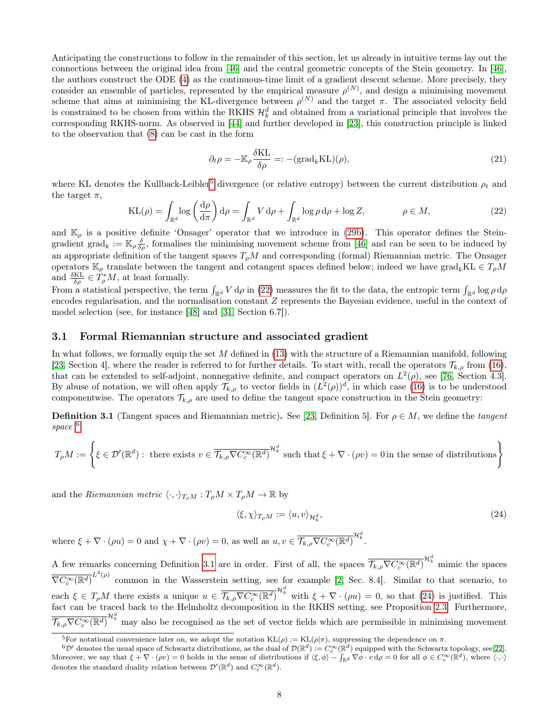Anticipating the constructions to follow in the remainder of this section, let us already in intuitive terms lay out the connections between the original idea from [\[46\]](#page-22-7) and the central geometric concepts of the Stein geometry. In [\[46\]](#page-22-7), the authors construct the ODE [\(4\)](#page-1-2) as the continuous-time limit of a gradient descent scheme. More precisely, they consider an ensemble of particles, represented by the empirical measure  $\rho^{(N)}$ , and design a minimising movement scheme that aims at minimising the KL-divergence between  $\rho^{(N)}$  and the target  $\pi$ . The associated velocity field is constrained to be chosen from within the RKHS  $\mathcal{H}^d_k$  and obtained from a variational principle that involves the corresponding RKHS-norm. As observed in [\[44\]](#page-22-6) and further developed in [\[23\]](#page-21-8), this construction principle is linked to the observation that [\(8\)](#page-2-0) can be cast in the form

<span id="page-7-6"></span>
$$
\partial_t \rho = -\mathbb{K}_{\rho} \frac{\delta \mathcal{K} \mathcal{L}}{\delta \rho} =: -(\text{grad}_k \mathcal{K} \mathcal{L})(\rho),\tag{21}
$$

where KL denotes the Kullback-Leibler<sup>[5](#page-7-1)</sup> divergence (or relative entropy) between the current distribution  $\rho_t$  and the target  $\pi$ ,

<span id="page-7-2"></span>
$$
KL(\rho) = \int_{\mathbb{R}^d} \log \left( \frac{d\rho}{d\pi} \right) d\rho = \int_{\mathbb{R}^d} V d\rho + \int_{\mathbb{R}^d} \log \rho d\rho + \log Z, \qquad \rho \in M,
$$
\n(22)

and  $\mathbb{K}_{\rho}$  is a positive definite 'Onsager' operator that we introduce in [\(29b\)](#page-8-1). This operator defines the Steingradient grad<sub>k</sub> :=  $\mathbb{K}_{\rho}\frac{\delta}{\delta\rho}$ , formalises the minimising movement scheme from [\[46\]](#page-22-7) and can be seen to be induced by an appropriate definition of the tangent spaces  $T_{\rho}M$  and corresponding (formal) Riemannian metric. The Onsager operators  $\mathbb{K}_{\rho}$  translate between the tangent and cotangent spaces defined below; indeed we have grad<sub>k</sub>KL  $\in T_{\rho}M$ and  $\frac{\delta KL}{\delta \rho} \in T_{\rho}^{*}M$ , at least formally.

From a statistical perspective, the term  $\int_{\mathbb{R}^d} V d\rho$  in [\(22\)](#page-7-2) measures the fit to the data, the entropic term  $\int_{\mathbb{R}^d} \log \rho d\rho$ encodes regularisation, and the normalisation constant Z represents the Bayesian evidence, useful in the context of model selection (see, for instance [\[48\]](#page-23-17) and [\[31,](#page-22-15) Section 6.7]).

#### <span id="page-7-0"></span>3.1 Formal Riemannian structure and associated gradient

In what follows, we formally equip the set  $M$  defined in  $(13)$  with the structure of a Riemannian manifold, following [\[23,](#page-21-8) Section 4], where the reader is referred to for further details. To start with, recall the operators  $\mathcal{T}_{k,\rho}$  from [\(16\)](#page-5-4), that can be extended to self-adjoint, nonnegative definite, and compact operators on  $L^2(\rho)$ , see [\[76,](#page-24-6) Section 4.3]. By abuse of notation, we will often apply  $\mathcal{T}_{k,\rho}$  to vector fields in  $(L^2(\rho))^d$ , in which case [\(16\)](#page-5-4) is to be understood componentwise. The operators  $\mathcal{T}_{k,\rho}$  are used to define the tangent space construction in the Stein geometry:

<span id="page-7-4"></span>**Definition 3.1** (Tangent spaces and Riemannian metric). See [\[23,](#page-21-8) Definition 5]. For  $\rho \in M$ , we define the tangent space <sup>[6](#page-7-3)</sup>

$$
T_{\rho}M := \left\{ \xi \in \mathcal{D}'(\mathbb{R}^d) : \text{ there exists } v \in \overline{\mathcal{T}_{k,\rho} \nabla C_c^{\infty}(\mathbb{R}^d)}^{\mathcal{H}_k^d} \text{ such that } \xi + \nabla \cdot (\rho v) = 0 \text{ in the sense of distributions} \right\}
$$

and the Riemannian metric  $\langle \cdot, \cdot \rangle_{T_{\rho}M} : T_{\rho}M \times T_{\rho}M \to \mathbb{R}$  by

<span id="page-7-5"></span>
$$
\langle \xi, \chi \rangle_{T_{\rho}M} := \langle u, v \rangle_{\mathcal{H}^d_k},\tag{24}
$$

where  $\xi + \nabla \cdot (\rho u) = 0$  and  $\chi + \nabla \cdot (\rho v) = 0$ , as well as  $u, v \in \overline{\mathcal{T}_{k,\rho} \nabla C_c^{\infty}(\mathbb{R}^d)}^{\mathcal{H}_k^d}$ .

A few remarks concerning Definition [3.1](#page-7-4) are in order. First of all, the spaces  $\overline{\mathcal{T}_{k,\rho}\nabla C_c^{\infty}(\mathbb{R}^d)}^{\mathcal{H}^d_k}$  mimic the spaces  $\overline{\nabla C_c^{\infty}(\mathbb{R}^d)}^{L^2(\rho)}$  common in the Wasserstein setting, see for example [\[2,](#page-21-6) Sec. 8.4]. Similar to that scenario, to each  $\xi \in T_\rho M$  there exists a unique  $u \in \overline{\mathcal{T}_{k,\rho} \nabla C_c^\infty(\mathbb{R}^d)}^{\mathcal{H}_k^d}$  with  $\xi + \nabla \cdot (\rho u) = 0$ , so that [\(24\)](#page-7-5) is justified. This fact can be traced back to the Helmholtz decomposition in the RKHS setting, see Proposition [2.3.](#page-6-4) Furthermore,  $\overline{\mathcal{T}_{k,\rho}\nabla C_c^{\infty}(\mathbb{R}^d)}^{\mathcal{H}_k^d}$  may also be recognised as the set of vector fields which are permissible in minimising movement

<span id="page-7-3"></span><span id="page-7-1"></span><sup>&</sup>lt;sup>5</sup>For notational convenience later on, we adopt the notation  $KL(\rho) := KL(\rho|\pi)$ , suppressing the dependence on  $\pi$ .

 ${}^6{\mathcal D}'$  denotes the usual space of Schwartz distributions, as the dual of  ${\mathcal D}({\mathbb R}^d) := C_c^\infty({\mathbb R}^d)$  equipped with the Schwartz topology, see[\[22\]](#page-21-14). Moreover, we say that  $\xi + \nabla \cdot (\rho v) = 0$  holds in the sense of distributions if  $\langle \xi, \phi \rangle - \int_{\mathbb{R}^d} \nabla \phi \cdot v \, d\rho = 0$  for all  $\phi \in C_c^{\infty}(\mathbb{R}^d)$ , where  $\langle \cdot, \cdot \rangle$ denotes the standard duality relation between  $\mathcal{D}'(\mathbb{R}^d)$  and  $C_c^{\infty}(\mathbb{R}^d)$ .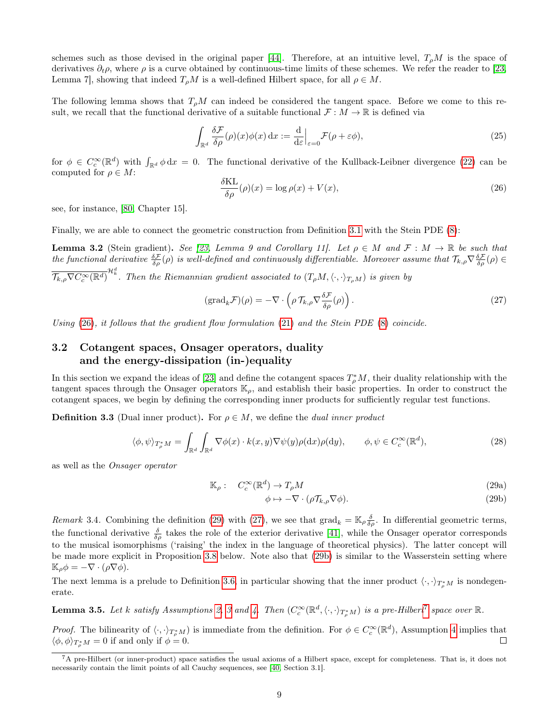schemes such as those devised in the original paper [\[44\]](#page-22-6). Therefore, at an intuitive level,  $T_{\rho}M$  is the space of derivatives  $\partial_t \rho$ , where  $\rho$  is a curve obtained by continuous-time limits of these schemes. We refer the reader to [\[23,](#page-21-8) Lemma 7], showing that indeed  $T_{\rho}M$  is a well-defined Hilbert space, for all  $\rho \in M$ .

The following lemma shows that  $T_{\rho}M$  can indeed be considered the tangent space. Before we come to this result, we recall that the functional derivative of a suitable functional  $\mathcal{F}: M \to \mathbb{R}$  is defined via

<span id="page-8-2"></span>
$$
\int_{\mathbb{R}^d} \frac{\delta \mathcal{F}}{\delta \rho}(\rho)(x) \phi(x) dx := \frac{\mathrm{d}}{\mathrm{d}\varepsilon} \Big|_{\varepsilon = 0} \mathcal{F}(\rho + \varepsilon \phi),\tag{25}
$$

for  $\phi \in C_c^{\infty}(\mathbb{R}^d)$  with  $\int_{\mathbb{R}^d} \phi \, dx = 0$ . The functional derivative of the Kullback-Leibner divergence [\(22\)](#page-7-2) can be computed for  $\rho \in M$ :

<span id="page-8-8"></span>
$$
\frac{\delta \text{KL}}{\delta \rho}(\rho)(x) = \log \rho(x) + V(x),\tag{26}
$$

see, for instance, [\[80,](#page-24-9) Chapter 15].

Finally, we are able to connect the geometric construction from Definition [3.1](#page-7-4) with the Stein PDE [\(8\)](#page-2-0):

**Lemma 3.2** (Stein gradient). See [\[23,](#page-21-8) Lemma 9 and Corollary 11]. Let  $\rho \in M$  and  $\mathcal{F}: M \to \mathbb{R}$  be such that the functional derivative  $\frac{\delta \mathcal{F}}{\delta \rho}(\rho)$  is well-defined and continuously differentiable. Moreover assume that  $\mathcal{T}_{k,\rho} \nabla \frac{\delta \mathcal{F}}{\delta \rho}(\rho) \in$  $\overline{\mathcal{T}_{k,\rho}\nabla C_c^\infty(\mathbb{R}^d)}^{\mathcal{H}_k^d}$ . Then the Riemannian gradient associated to  $(T_\rho M,\langle\cdot,\cdot\rangle_{T_\rho M})$  is given by

<span id="page-8-4"></span>
$$
(\text{grad}_{k} \mathcal{F})(\rho) = -\nabla \cdot \left(\rho \mathcal{T}_{k,\rho} \nabla \frac{\delta \mathcal{F}}{\delta \rho}(\rho)\right). \tag{27}
$$

Using  $(26)$ , it follows that the gradient flow formulation  $(21)$  and the Stein PDE  $(8)$  coincide.

### <span id="page-8-0"></span>3.2 Cotangent spaces, Onsager operators, duality and the energy-dissipation (in-)equality

In this section we expand the ideas of [\[23\]](#page-21-8) and define the cotangent spaces  $T^*_\rho M$ , their duality relationship with the tangent spaces through the Onsager operators  $\mathbb{K}_{\rho}$ , and establish their basic properties. In order to construct the cotangent spaces, we begin by defining the corresponding inner products for sufficiently regular test functions.

**Definition 3.3** (Dual inner product). For  $\rho \in M$ , we define the *dual inner product* 

$$
\langle \phi, \psi \rangle_{T^*_\rho M} = \int_{\mathbb{R}^d} \int_{\mathbb{R}^d} \nabla \phi(x) \cdot k(x, y) \nabla \psi(y) \rho(\mathrm{d}x) \rho(\mathrm{d}y), \qquad \phi, \psi \in C_c^\infty(\mathbb{R}^d), \tag{28}
$$

as well as the Onsager operator

<span id="page-8-3"></span>
$$
\mathbb{K}_{\rho}: C_c^{\infty}(\mathbb{R}^d) \to T_{\rho}M \tag{29a}
$$

<span id="page-8-6"></span><span id="page-8-1"></span>
$$
\phi \mapsto -\nabla \cdot (\rho \mathcal{T}_{k,\rho} \nabla \phi). \tag{29b}
$$

<span id="page-8-7"></span>Remark 3.4. Combining the definition [\(29\)](#page-8-3) with [\(27\)](#page-8-4), we see that  $\text{grad}_k = \mathbb{K}_{\rho} \frac{\delta}{\delta \rho}$ . In differential geometric terms, the functional derivative  $\frac{\delta}{\delta \rho}$  takes the role of the exterior derivative [\[41\]](#page-22-16), while the Onsager operator corresponds to the musical isomorphisms ('raising' the index in the language of theoretical physics). The latter concept will be made more explicit in Proposition [3.8](#page-9-0) below. Note also that [\(29b\)](#page-8-1) is similar to the Wasserstein setting where  $\mathbb{K}_{\rho}\phi = -\nabla \cdot (\rho \nabla \phi).$ 

The next lemma is a prelude to Definition [3.6,](#page-9-1) in particular showing that the inner product  $\langle \cdot, \cdot \rangle_{T^*_\rho M}$  is nondegenerate.

**Lemma [3](#page-5-1).5.** Let k satisfy Assumptions [2,](#page-5-0) 3 and [4.](#page-5-2) Then  $(C_c^{\infty}(\mathbb{R}^d, \langle \cdot, \cdot \rangle_{T^*_\rho M})$  is a pre-Hilbert<sup>[7](#page-8-5)</sup> space over  $\mathbb{R}$ .

*Proof.* The bilinearity of  $\langle \cdot, \cdot \rangle_{T^*_\rho M}$  is immediate from the definition. For  $\phi \in C_c^{\infty}(\mathbb{R}^d)$ , Assumption [4](#page-5-2) implies that  $\langle \phi, \phi \rangle_{T^*_\rho M} = 0$  if and only if  $\phi = 0$ .  $\Box$ 

<span id="page-8-5"></span> ${}^{7}A$  pre-Hilbert (or inner-product) space satisfies the usual axioms of a Hilbert space, except for completeness. That is, it does not necessarily contain the limit points of all Cauchy sequences, see [\[40,](#page-22-17) Section 3.1].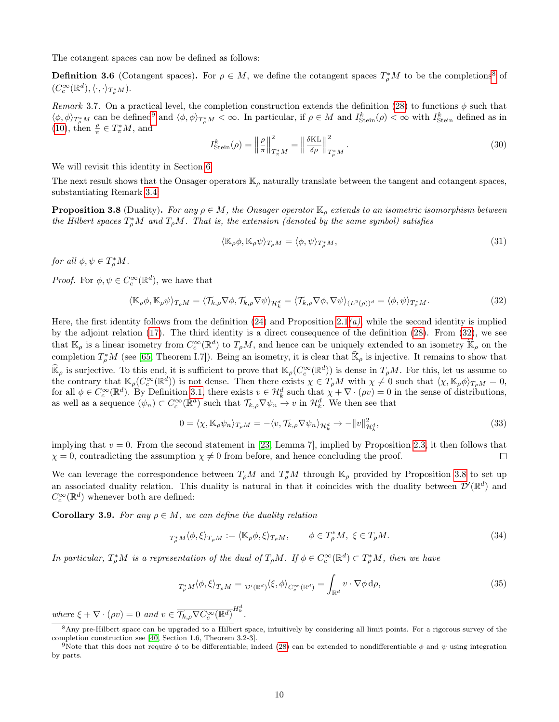The cotangent spaces can now be defined as follows:

<span id="page-9-1"></span>**Definition 3.6** (Cotangent spaces). For  $\rho \in M$ , we define the cotangent spaces  $T^*_{\rho}M$  to be the completions<sup>[8](#page-9-2)</sup> of  $(C_c^{\infty}(\mathbb{R}^d), \langle \cdot, \cdot \rangle_{T^*_\rho M}).$ 

<span id="page-9-9"></span>Remark 3.7. On a practical level, the completion construction extends the definition [\(28\)](#page-8-6) to functions  $\phi$  such that  $\langle \phi, \phi \rangle_{T^*_\rho M}$  can be defined<sup>[9](#page-9-3)</sup> and  $\langle \phi, \phi \rangle_{T^*_\rho M} < \infty$ . In particular, if  $\rho \in M$  and  $I^k_{\text{Stein}}(\rho) < \infty$  with  $I^k_{\text{Stein}}$  defined as in [\(10\)](#page-3-1), then  $\frac{\rho}{\pi} \in T^*_\pi M$ , and

<span id="page-9-10"></span>
$$
I_{\text{Stein}}^{k}(\rho) = \left\| \frac{\rho}{\pi} \right\|_{T_{\pi}^{*}M}^{2} = \left\| \frac{\delta \text{KL}}{\delta \rho} \right\|_{T_{\rho}^{*}M}^{2}.
$$
\n(30)

We will revisit this identity in Section [6.](#page-16-0)

The next result shows that the Onsager operators  $\mathbb{K}_{\rho}$  naturally translate between the tangent and cotangent spaces, substantiating Remark [3.4:](#page-8-7)

<span id="page-9-0"></span>**Proposition 3.8** (Duality). For any  $\rho \in M$ , the Onsager operator  $\mathbb{K}_{\rho}$  extends to an isometric isomorphism between the Hilbert spaces  $T_{\rho}^*M$  and  $T_{\rho}M$ . That is, the extension (denoted by the same symbol) satisfies

<span id="page-9-7"></span><span id="page-9-4"></span>
$$
\langle \mathbb{K}_{\rho} \phi, \mathbb{K}_{\rho} \psi \rangle_{T_{\rho}M} = \langle \phi, \psi \rangle_{T_{\rho}^*M},\tag{31}
$$

for all  $\phi, \psi \in T_{\rho}^* M$ .

*Proof.* For  $\phi, \psi \in C_c^{\infty}(\mathbb{R}^d)$ , we have that

$$
\langle \mathbb{K}_{\rho} \phi, \mathbb{K}_{\rho} \psi \rangle_{T_{\rho}M} = \langle \mathcal{T}_{k,\rho} \nabla \phi, \mathcal{T}_{k,\rho} \nabla \psi \rangle_{\mathcal{H}_{k}^{d}} = \langle \mathcal{T}_{k,\rho} \nabla \phi, \nabla \psi \rangle_{(L^{2}(\rho))^{d}} = \langle \phi, \psi \rangle_{T_{\rho}^{*}M}.
$$
\n(32)

Here, the first identity follows from the definition  $(24)$  and Proposition [2.1](#page-6-2) $(a)$ , while the second identity is implied by the adjoint relation [\(17\)](#page-5-3). The third identity is a direct consequence of the definition [\(28\)](#page-8-6). From [\(32\)](#page-9-4), we see that  $\mathbb{K}_{\rho}$  is a linear isometry from  $C_c^{\infty}(\mathbb{R}^d)$  to  $T_{\rho}M$ , and hence can be uniquely extended to an isometry  $\widehat{\mathbb{K}}_{\rho}$  on the completion  $T_{\rho}^*M$  (see [\[65,](#page-23-14) Theorem I.7]). Being an isometry, it is clear that  $\widehat{\mathbb{K}}_{\rho}$  is injective. It remains to show that  $\widehat{\mathbb{K}}_{\rho}$  is surjective. To this end, it is sufficient to prove that  $\mathbb{K}_{\rho}(C_c^{\infty}(\mathbb{R}^d))$  is dense in  $T_{\rho}M$ . For this, let us assume to the contrary that  $\mathbb{K}_{\rho}(C_c^{\infty}(\mathbb{R}^d))$  is not dense. Then there exists  $\chi \in T_{\rho}M$  with  $\chi \neq 0$  such that  $\langle \chi, \mathbb{K}_{\rho} \phi \rangle_{T_{\rho}M} = 0$ , for all  $\phi \in C_c^{\infty}(\mathbb{R}^d)$ . By Definition [3.1,](#page-7-4) there exists  $v \in \mathcal{H}_k^d$  such that  $\chi + \nabla \cdot (\rho v) = 0$  in the sense of distributions, as well as a sequence  $(\psi_n) \subset C_c^{\infty}(\mathbb{R}^d)$  such that  $\mathcal{T}_{k,\rho} \nabla \psi_n \to v$  in  $\mathcal{H}_k^d$ . We then see that

$$
0 = \langle \chi, \mathbb{K}_{\rho} \psi_n \rangle_{T_{\rho}M} = -\langle v, \mathcal{T}_{k,\rho} \nabla \psi_n \rangle_{\mathcal{H}_k^d} \to -\|v\|_{\mathcal{H}_k^d}^2,
$$
\n(33)

implying that  $v = 0$ . From the second statement in [\[23,](#page-21-8) Lemma 7], implied by Proposition [2.3,](#page-6-4) it then follows that  $\chi = 0$ , contradicting the assumption  $\chi \neq 0$  from before, and hence concluding the proof.  $\Box$ 

We can leverage the correspondence between  $T_{\rho}M$  and  $T_{\rho}^*M$  through  $\mathbb{K}_{\rho}$  provided by Proposition [3.8](#page-9-0) to set up an associated duality relation. This duality is natural in that it coincides with the duality between  $\mathcal{D}'(\mathbb{R}^d)$  and  $C_c^{\infty}(\mathbb{R}^d)$  whenever both are defined:

<span id="page-9-8"></span>**Corollary 3.9.** For any  $\rho \in M$ , we can define the duality relation

<span id="page-9-5"></span>
$$
T_{\rho}^* M \langle \phi, \xi \rangle_{T_{\rho} M} := \langle \mathbb{K}_{\rho} \phi, \xi \rangle_{T_{\rho} M}, \qquad \phi \in T_{\rho}^* M, \ \xi \in T_{\rho} M. \tag{34}
$$

In particular,  $T_\rho^*M$  is a representation of the dual of  $T_\rho M$ . If  $\phi \in C_c^\infty(\mathbb{R}^d) \subset T_\rho^*M$ , then we have

<span id="page-9-6"></span>
$$
T_{\rho}^* M \langle \phi, \xi \rangle_{T_{\rho} M} = \mathcal{D}'(\mathbb{R}^d) \langle \xi, \phi \rangle_{C_c^{\infty}(\mathbb{R}^d)} = \int_{\mathbb{R}^d} v \cdot \nabla \phi \, d\rho,
$$
\n(35)

where  $\xi + \nabla \cdot (\rho v) = 0$  and  $v \in \overline{\mathcal{T}_{k,\rho} \nabla C_c^{\infty}(\mathbb{R}^d)}^{H_k^d}$ .

<span id="page-9-2"></span><sup>&</sup>lt;sup>8</sup>Any pre-Hilbert space can be upgraded to a Hilbert space, intuitively by considering all limit points. For a rigorous survey of the completion construction see [\[40,](#page-22-17) Section 1.6, Theorem 3.2-3].

<span id="page-9-3"></span><sup>&</sup>lt;sup>9</sup>Note that this does not require  $\phi$  to be differentiable; indeed [\(28\)](#page-8-6) can be extended to nondifferentiable  $\phi$  and  $\psi$  using integration by parts.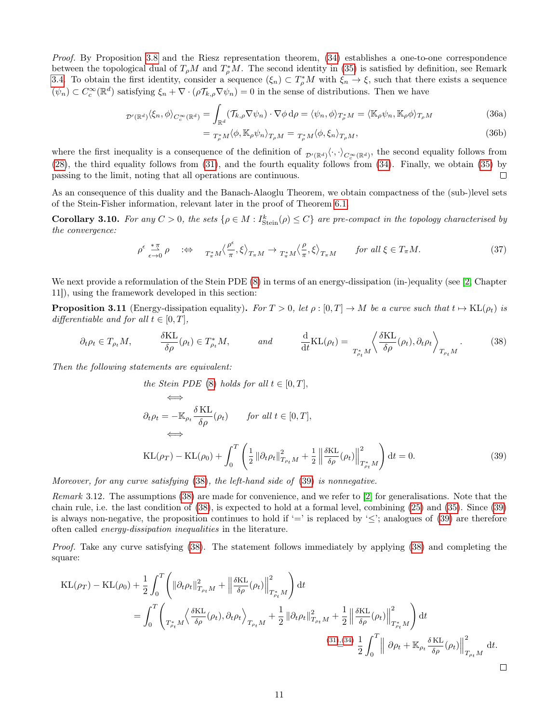Proof. By Proposition [3.8](#page-9-0) and the Riesz representation theorem, [\(34\)](#page-9-5) establishes a one-to-one correspondence between the topological dual of  $T_{\rho}M$  and  $T_{\rho}^*M$ . The second identity in [\(35\)](#page-9-6) is satisfied by definition, see Remark [3.4.](#page-8-7) To obtain the first identity, consider a sequence  $(\xi_n) \subset T_\rho^*M$  with  $\xi_n \to \xi$ , such that there exists a sequence  $(\psi_n) \subset C_c^{\infty}(\mathbb{R}^d)$  satisfying  $\xi_n + \nabla \cdot (\rho \mathcal{T}_{k,\rho} \nabla \psi_n) = 0$  in the sense of distributions. Then we have

$$
D'(\mathbb{R}^d)\langle\xi_n,\phi\rangle_{C_c^{\infty}(\mathbb{R}^d)} = \int_{\mathbb{R}^d} (\mathcal{T}_{k,\rho}\nabla\psi_n) \cdot \nabla\phi \,d\rho = \langle\psi_n,\phi\rangle_{T_{\rho}^*M} = \langle\mathbb{K}_{\rho}\psi_n,\mathbb{K}_{\rho}\phi\rangle_{T_{\rho}M}
$$
(36a)

<span id="page-10-3"></span>
$$
= T_{\rho}^* M \langle \phi, \mathbb{K}_{\rho} \psi_n \rangle_{T_{\rho} M} = T_{\rho}^* M \langle \phi, \xi_n \rangle_{T_{\rho} M}, \tag{36b}
$$

where the first inequality is a consequence of the definition of  $_{\mathcal{D}'(\mathbb{R}^d)}\langle \cdot, \cdot \rangle_{C_c^{\infty}(\mathbb{R}^d)}$ , the second equality follows from [\(28\)](#page-8-6), the third equality follows from [\(31\)](#page-9-7), and the fourth equality follows from [\(34\)](#page-9-5). Finally, we obtain [\(35\)](#page-9-6) by passing to the limit, noting that all operations are continuous.  $\Box$ 

As an consequence of this duality and the Banach-Alaoglu Theorem, we obtain compactness of the (sub-)level sets of the Stein-Fisher information, relevant later in the proof of Theorem [6.1.](#page-16-1)

**Corollary 3.10.** For any  $C > 0$ , the sets  $\{\rho \in M : I^k_{Stein}(\rho) \leq C\}$  are pre-compact in the topology characterised by the convergence:

$$
\rho^{\epsilon} \stackrel{\ast \pi}{\underset{\epsilon \to 0}{\longrightarrow}} \rho \quad \Leftrightarrow \quad T_{\pi}^* M \Big\langle \frac{\rho^{\epsilon}}{\pi}, \xi \Big\rangle_{T_{\pi} M} \to T_{\pi}^* M \Big\langle \frac{\rho}{\pi}, \xi \Big\rangle_{T_{\pi} M} \quad \text{for all } \xi \in T_{\pi} M. \tag{37}
$$

We next provide a reformulation of the Stein PDE  $(8)$  in terms of an energy-dissipation (in-)equality (see [\[2,](#page-21-6) Chapter 11]), using the framework developed in this section:

<span id="page-10-0"></span>**Proposition 3.11** (Energy-dissipation equality). For  $T > 0$ , let  $\rho : [0, T] \to M$  be a curve such that  $t \mapsto KL(\rho_t)$  is differentiable and for all  $t \in [0, T]$ ,

$$
\partial_t \rho_t \in T_{\rho_t} M, \qquad \frac{\delta \text{KL}}{\delta \rho}(\rho_t) \in T_{\rho_t}^* M, \qquad \text{and} \qquad \frac{\mathrm{d}}{\mathrm{d}t} \text{KL}(\rho_t) = \frac{\left\langle \frac{\delta \text{KL}}{\delta \rho}(\rho_t), \partial_t \rho_t \right\rangle_{T_{\rho_t} M} . \tag{38}
$$

Then the following statements are equivalent:

the Stein PDE (8) holds for all 
$$
t \in [0, T]
$$
,  
\n
$$
\iff \partial_t \rho_t = -\mathbb{K}_{\rho_t} \frac{\delta \mathcal{KL}}{\delta \rho}(\rho_t) \quad \text{for all } t \in [0, T],
$$
\n
$$
\iff
$$
\n
$$
\mathcal{KL}(\rho_T) - \mathcal{KL}(\rho_0) + \int_0^T \left( \frac{1}{2} \left\| \partial_t \rho_t \right\|_{T_{\rho_t} M}^2 + \frac{1}{2} \left\| \frac{\delta \mathcal{KL}}{\delta \rho}(\rho_t) \right\|_{T_{\rho_t}^* M}^2 \right) dt = 0.
$$
\n(39)

<span id="page-10-2"></span><span id="page-10-1"></span> $\Box$ 

Moreover, for any curve satisfying [\(38\)](#page-10-1), the left-hand side of [\(39\)](#page-10-2) is nonnegative.

Remark 3.12. The assumptions [\(38\)](#page-10-1) are made for convenience, and we refer to [\[2\]](#page-21-6) for generalisations. Note that the chain rule, i.e. the last condition of [\(38\)](#page-10-1), is expected to hold at a formal level, combining [\(25\)](#page-8-8) and [\(35\)](#page-9-6). Since [\(39\)](#page-10-2) is always non-negative, the proposition continues to hold if  $=$ ' is replaced by  $\leq$ '; analogues of [\(39\)](#page-10-2) are therefore often called energy-dissipation inequalities in the literature.

Proof. Take any curve satisfying [\(38\)](#page-10-1). The statement follows immediately by applying [\(38\)](#page-10-1) and completing the square:

KL(ρ<sup>T</sup> ) <sup>−</sup> KL(ρ0) + <sup>1</sup> 2 Z <sup>T</sup> 0 k∂tρtk 2 <sup>T</sup>ρt<sup>M</sup> + δKL δρ (ρt) 2 T <sup>∗</sup> ρtM ! dt = Z <sup>T</sup> 0 D δKL δρ (ρt), ∂tρ<sup>t</sup> E T <sup>∗</sup> ρtM TρtM + 1 2 k∂tρtk 2 <sup>T</sup>ρt<sup>M</sup> + 1 2 δKL δρ (ρt) 2 T <sup>∗</sup> ρtM ! dt [\(31\)](#page-9-7),[\(34\)](#page-9-5) = 1 2 Z <sup>T</sup> 0 ∂ρ<sup>t</sup> <sup>+</sup> <sup>K</sup><sup>ρ</sup><sup>t</sup> δ KL δρ (ρt) 2 TρtM dt.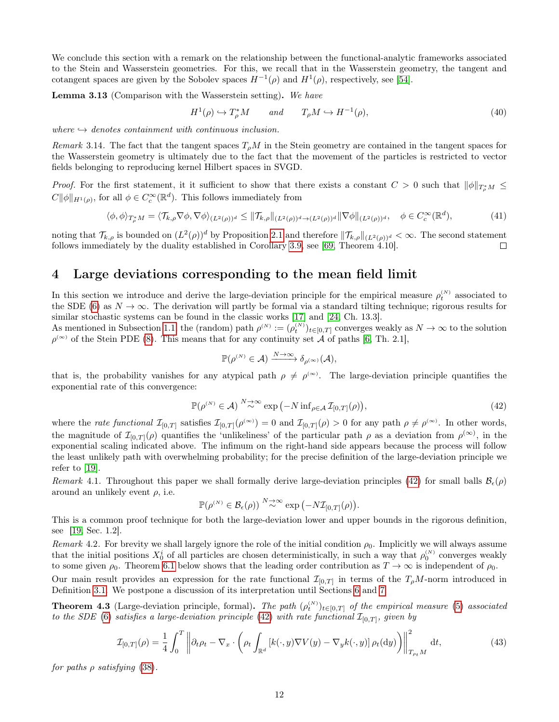We conclude this section with a remark on the relationship between the functional-analytic frameworks associated to the Stein and Wasserstein geometries. For this, we recall that in the Wasserstein geometry, the tangent and cotangent spaces are given by the Sobolev spaces  $H^{-1}(\rho)$  and  $H^{1}(\rho)$ , respectively, see [\[54\]](#page-23-7).

Lemma 3.13 (Comparison with the Wasserstein setting). We have

$$
H^{1}(\rho) \hookrightarrow T_{\rho}^{*}M \qquad and \qquad T_{\rho}M \hookrightarrow H^{-1}(\rho), \tag{40}
$$

where  $\rightarrow$  denotes containment with continuous inclusion.

Remark 3.14. The fact that the tangent spaces  $T_{\rho}M$  in the Stein geometry are contained in the tangent spaces for the Wasserstein geometry is ultimately due to the fact that the movement of the particles is restricted to vector fields belonging to reproducing kernel Hilbert spaces in SVGD.

*Proof.* For the first statement, it it sufficient to show that there exists a constant  $C > 0$  such that  $\|\phi\|_{T^*_\rho M} \leq$  $C\|\phi\|_{H^1(\rho)}$ , for all  $\phi \in C_c^{\infty}(\mathbb{R}^d)$ . This follows immediately from

$$
\langle \phi, \phi \rangle_{T^*_\rho M} = \langle \mathcal{T}_{k,\rho} \nabla \phi, \nabla \phi \rangle_{(L^2(\rho))^d} \le \| \mathcal{T}_{k,\rho} \|_{(L^2(\rho))^d \to (L^2(\rho))^d} \| \nabla \phi \|_{(L^2(\rho))^d}, \quad \phi \in C_c^\infty(\mathbb{R}^d),
$$
 (41)

noting that  $\mathcal{T}_{k,\rho}$  is bounded on  $(L^2(\rho))^d$  by Proposition [2.1](#page-5-5) and therefore  $\|\mathcal{T}_{k,\rho}\|_{(L^2(\rho))^d} < \infty$ . The second statement follows immediately by the duality established in Corollary [3.9,](#page-9-8) see [\[69,](#page-23-18) Theorem 4.10].  $\Box$ 

### <span id="page-11-1"></span>4 Large deviations corresponding to the mean field limit

In this section we introduce and derive the large-deviation principle for the empirical measure  $\rho_t^{(N)}$  associated to the SDE [\(6\)](#page-1-3) as  $N \to \infty$ . The derivation will partly be formal via a standard tilting technique; rigorous results for similar stochastic systems can be found in the classic works [\[17\]](#page-21-15) and [\[24,](#page-22-18) Ch. 13.3].

As mentioned in Subsection [1.1,](#page-1-5) the (random) path  $\rho^{(N)} := (\rho_t^{(N)})_{t \in [0,T]}$  converges weakly as  $N \to \infty$  to the solution  $\rho^{(\infty)}$  of the Stein PDE [\(8\)](#page-2-0). This means that for any continuity set A of paths [\[6,](#page-21-16) Th. 2.1],

$$
\mathbb{P}(\rho^{(N)} \in \mathcal{A}) \xrightarrow{N \to \infty} \delta_{\rho^{(\infty)}}(\mathcal{A}),
$$

that is, the probability vanishes for any atypical path  $\rho \neq \rho^{\infty}$ . The large-deviation principle quantifies the exponential rate of this convergence:

<span id="page-11-2"></span>
$$
\mathbb{P}(\rho^{(N)} \in \mathcal{A}) \stackrel{N \to \infty}{\sim} \exp(-N \inf_{\rho \in \mathcal{A}} \mathcal{I}_{[0,T]}(\rho)),\tag{42}
$$

where the *rate functional*  $\mathcal{I}_{[0,T]}$  satisfies  $\mathcal{I}_{[0,T]}(\rho^{(\infty)}) = 0$  and  $\mathcal{I}_{[0,T]}(\rho) > 0$  for any path  $\rho \neq \rho^{(\infty)}$ . In other words, the magnitude of  $\mathcal{I}_{[0,T]}(\rho)$  quantifies the 'unlikeliness' of the particular path  $\rho$  as a deviation from  $\rho^{(\infty)}$ , in the exponential scaling indicated above. The infimum on the right-hand side appears because the process will follow the least unlikely path with overwhelming probability; for the precise definition of the large-deviation principle we refer to  $|19|$ .

Remark 4.1. Throughout this paper we shall formally derive large-deviation principles [\(42\)](#page-11-2) for small balls  $\mathcal{B}_{\epsilon}(\rho)$ around an unlikely event  $\rho$ , i.e.

<span id="page-11-3"></span>
$$
\mathbb{P}(\rho^{(N)} \in \mathcal{B}_{\epsilon}(\rho)) \stackrel{N \to \infty}{\sim} \exp(-N\mathcal{I}_{[0,T]}(\rho)).
$$

This is a common proof technique for both the large-deviation lower and upper bounds in the rigorous definition, see [\[19,](#page-21-17) Sec. 1.2].

Remark 4.2. For brevity we shall largely ignore the role of the initial condition  $\rho_0$ . Implicitly we will always assume that the initial positions  $X_0^i$  of all particles are chosen deterministically, in such a way that  $\rho_0^{(N)}$  converges weakly to some given  $\rho_0$ . Theorem [6.1](#page-16-1) below shows that the leading order contribution as  $T \to \infty$  is independent of  $\rho_0$ .

Our main result provides an expression for the rate functional  $\mathcal{I}_{[0,T]}$  in terms of the  $T_{\rho}M$ -norm introduced in Definition [3.1.](#page-7-4) We postpone a discussion of its interpretation until Sections [6](#page-16-0) and [7.](#page-19-0)

<span id="page-11-0"></span>**Theorem 4.3** (Large-deviation principle, formal). The path  $(\rho_t^{(N)})_{t\in[0,T]}$  of the empirical measure [\(5\)](#page-1-4) associated to the SDE [\(6\)](#page-1-3) satisfies a large-deviation principle [\(42\)](#page-11-2) with rate functional  $\mathcal{I}_{[0,T]}$ , given by

$$
\mathcal{I}_{[0,T]}(\rho) = \frac{1}{4} \int_0^T \left\| \partial_t \rho_t - \nabla_x \cdot \left( \rho_t \int_{\mathbb{R}^d} \left[ k(\cdot, y) \nabla V(y) - \nabla_y k(\cdot, y) \right] \rho_t(\mathrm{d}y) \right) \right\|_{T_{\rho_t} M}^2 \mathrm{d}t,\tag{43}
$$

for paths  $\rho$  satisfying [\(38\)](#page-10-1).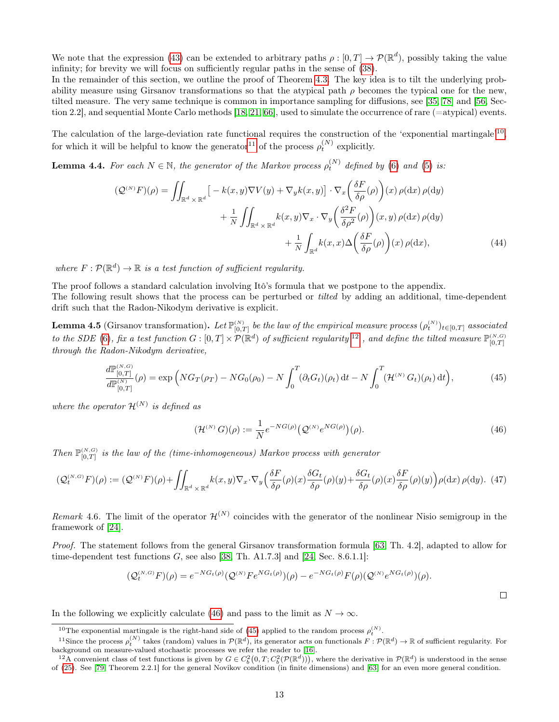We note that the expression [\(43\)](#page-11-3) can be extended to arbitrary paths  $\rho: [0,T] \to \mathcal{P}(\mathbb{R}^d)$ , possibly taking the value infinity; for brevity we will focus on sufficiently regular paths in the sense of [\(38\)](#page-10-1).

In the remainder of this section, we outline the proof of Theorem [4.3.](#page-11-0) The key idea is to tilt the underlying probability measure using Girsanov transformations so that the atypical path  $\rho$  becomes the typical one for the new, tilted measure. The very same technique is common in importance sampling for diffusions, see [\[35,](#page-22-19) [78\]](#page-24-10) and [\[56,](#page-23-19) Section 2.2], and sequential Monte Carlo methods [\[18,](#page-21-18) [21,](#page-21-19) [66\]](#page-23-20), used to simulate the occurrence of rare (=atypical) events.

The calculation of the large-deviation rate functional requires the construction of the 'exponential martingale'<sup>[10](#page-12-0)</sup>, for which it will be helpful to know the generator<sup>[11](#page-12-1)</sup> of the process  $\rho_t^{(N)}$  explicitly.

**Lemma 4.4.** For each  $N \in \mathbb{N}$ , the generator of the Markov process  $\rho_t^{(N)}$  defined by [\(6\)](#page-1-3) and [\(5\)](#page-1-4) is:

$$
(\mathcal{Q}^{(N)}F)(\rho) = \iint_{\mathbb{R}^d \times \mathbb{R}^d} \left[ -k(x, y) \nabla V(y) + \nabla_y k(x, y) \right] \cdot \nabla_x \left( \frac{\delta F}{\delta \rho}(\rho) \right)(x) \, \rho(\mathrm{d}x) \, \rho(\mathrm{d}y) + \frac{1}{N} \iint_{\mathbb{R}^d \times \mathbb{R}^d} k(x, y) \nabla_x \cdot \nabla_y \left( \frac{\delta^2 F}{\delta \rho^2}(\rho) \right)(x, y) \, \rho(\mathrm{d}x) \, \rho(\mathrm{d}y) + \frac{1}{N} \int_{\mathbb{R}^d} k(x, x) \Delta \left( \frac{\delta F}{\delta \rho}(\rho) \right)(x) \, \rho(\mathrm{d}x), \tag{44}
$$

where  $F: \mathcal{P}(\mathbb{R}^d) \to \mathbb{R}$  is a test function of sufficient regularity.

The proof follows a standard calculation involving Itô's formula that we postpone to the appendix. The following result shows that the process can be perturbed or tilted by adding an additional, time-dependent drift such that the Radon-Nikodym derivative is explicit.

**Lemma 4.5** (Girsanov transformation). Let  $\mathbb{P}_{[0,T]}^{(N)}$  be the law of the empirical measure process  $(\rho_t^{(N)})_{t\in[0,T]}$  associated to the SDE [\(6\)](#page-1-3), fix a test function  $G: [0,T] \times \mathcal{P}(\mathbb{R}^d)$  of sufficient regularity  $^{12}$  $^{12}$  $^{12}$  , and define the tilted measure  $\mathbb{P}_{[0,T]}^{(N,G)}$ through the Radon-Nikodym derivative,

$$
\frac{d\mathbb{P}_{[0,T]}^{(N,G)}}{d\mathbb{P}_{[0,T]}^{(N)}}(\rho) = \exp\left(NG_T(\rho_T) - NG_0(\rho_0) - N \int_0^T (\partial_t G_t)(\rho_t) dt - N \int_0^T (\mathcal{H}^{(N)} G_t)(\rho_t) dt \right),\tag{45}
$$

where the operator  $\mathcal{H}^{(N)}$  is defined as

<span id="page-12-6"></span><span id="page-12-5"></span><span id="page-12-4"></span><span id="page-12-3"></span>
$$
(\mathcal{H}^{(N)} G)(\rho) := \frac{1}{N} e^{-NG(\rho)} \left( \mathcal{Q}^{(N)} e^{NG(\rho)} \right)(\rho).
$$
 (46)

Then  $\mathbb{P}_{[0,T]}^{(N,G)}$  is the law of the (time-inhomogeneous) Markov process with generator

$$
(\mathcal{Q}_t^{(N,G)}F)(\rho) := (\mathcal{Q}^{(N)}F)(\rho) + \iint_{\mathbb{R}^d \times \mathbb{R}^d} k(x,y) \nabla_x \cdot \nabla_y \left( \frac{\delta F}{\delta \rho}(\rho)(x) \frac{\delta G_t}{\delta \rho}(\rho)(y) + \frac{\delta G_t}{\delta \rho}(\rho)(x) \frac{\delta F}{\delta \rho}(\rho)(y) \right) \rho(\mathrm{d}x) \rho(\mathrm{d}y). \tag{47}
$$

Remark 4.6. The limit of the operator  $\mathcal{H}^{(N)}$  coincides with the generator of the nonlinear Nisio semigroup in the framework of [\[24\]](#page-22-18).

Proof. The statement follows from the general Girsanov transformation formula [\[63,](#page-23-21) Th. 4.2], adapted to allow for time-dependent test functions  $G$ , see also [\[38,](#page-22-20) Th. A1.7.3] and [\[24,](#page-22-18) Sec. 8.6.1.1]:

$$
(\mathcal{Q}_t^{(N,G)} F)(\rho) = e^{-NG_t(\rho)} (\mathcal{Q}^{(N)} F e^{NG_t(\rho)}) (\rho) - e^{-NG_t(\rho)} F(\rho) (\mathcal{Q}^{(N)} e^{NG_t(\rho)}) (\rho).
$$

In the following we explicitly calculate [\(46\)](#page-12-3) and pass to the limit as  $N \to \infty$ .

<span id="page-12-1"></span><span id="page-12-0"></span><sup>&</sup>lt;sup>10</sup>The exponential martingale is the right-hand side of [\(45\)](#page-12-4) applied to the random process  $\rho_t^{(N)}$ .

<sup>&</sup>lt;sup>11</sup>Since the process  $\rho_t^{(N)}$  takes (random) values in  $\mathcal{P}(\mathbb{R}^d)$ , its generator acts on functionals  $F: \mathcal{P}(\mathbb{R}^d) \to \mathbb{R}$  of sufficient regularity. For background on measure-valued stochastic processes we refer the reader to [\[16\]](#page-21-20).

<span id="page-12-2"></span><sup>&</sup>lt;sup>12</sup>A convenient class of test functions is given by  $G \in C_b^2(0,T; C_b^2(\mathcal{P}(\mathbb{R}^d)))$ , where the derivative in  $\mathcal{P}(\mathbb{R}^d)$  is understood in the sense of [\(25\)](#page-8-8). See [\[79,](#page-24-11) Theorem 2.2.1] for the general Novikov condition (in finite dimensions) and [\[63\]](#page-23-21) for an even more general condition.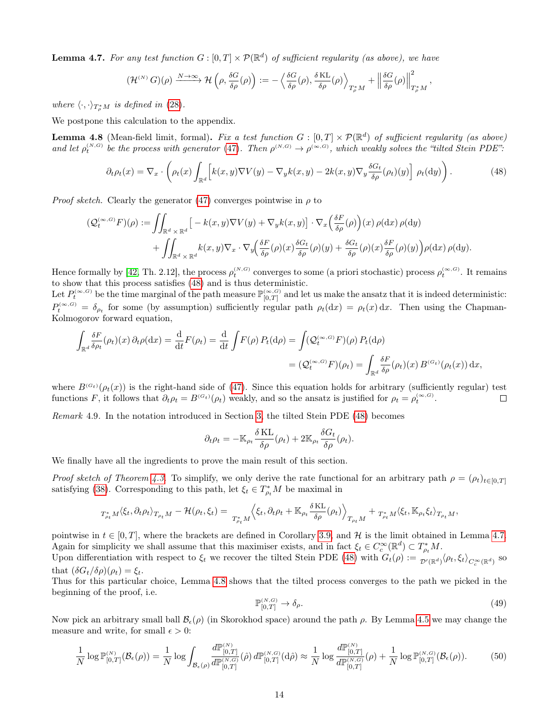<span id="page-13-1"></span>**Lemma 4.7.** For any test function  $G : [0, T] \times \mathcal{P}(\mathbb{R}^d)$  of sufficient regularity (as above), we have

<span id="page-13-0"></span>
$$
(\mathcal{H}^{(N)} G)(\rho) \xrightarrow{N \to \infty} \mathcal{H} \left( \rho, \frac{\delta G}{\delta \rho}(\rho) \right) := - \left\langle \frac{\delta G}{\delta \rho}(\rho), \frac{\delta \mathrm{KL}}{\delta \rho}(\rho) \right\rangle_{T^*_\rho M} + \left\| \frac{\delta G}{\delta \rho}(\rho) \right\|_{T^*_\rho M}^2,
$$

where  $\langle \cdot, \cdot \rangle_{T^*_{\rho}M}$  is defined in [\(28\)](#page-8-6).

We postpone this calculation to the appendix.

**Lemma 4.8** (Mean-field limit, formal). Fix a test function  $G : [0, T] \times \mathcal{P}(\mathbb{R}^d)$  of sufficient regularity (as above) and let  $\rho_t^{(N,G)}$  be the process with generator [\(47\)](#page-12-5). Then  $\rho^{(N,G)} \to \rho^{(\infty,G)}$ , which weakly solves the "tilted Stein PDE":

$$
\partial_t \rho_t(x) = \nabla_x \cdot \left( \rho_t(x) \int_{\mathbb{R}^d} \left[ k(x, y) \nabla V(y) - \nabla_y k(x, y) - 2k(x, y) \nabla_y \frac{\delta G_t}{\delta \rho}(\rho_t)(y) \right] \rho_t(\mathrm{d}y) \right). \tag{48}
$$

*Proof sketch.* Clearly the generator [\(47\)](#page-12-5) converges pointwise in  $\rho$  to

$$
\begin{split} \left(\mathcal{Q}_{t}^{(\infty,G)}F\right)(\rho) &:= \iint_{\mathbb{R}^{d}\times\mathbb{R}^{d}}\left[-k(x,y)\nabla V(y)+\nabla_{y}k(x,y)\right]\cdot\nabla_{x}\left(\frac{\delta F}{\delta\rho}(\rho)\right)(x)\,\rho(\mathrm{d} x)\,\rho(\mathrm{d} y) \\ &+ \iint_{\mathbb{R}^{d}\times\mathbb{R}^{d}}k(x,y)\nabla_{x}\cdot\nabla_{y}\left(\frac{\delta F}{\delta\rho}(\rho)(x)\frac{\delta G_{t}}{\delta\rho}(\rho)(y)+\frac{\delta G_{t}}{\delta\rho}(\rho)(x)\frac{\delta F}{\delta\rho}(\rho)(y)\right)\rho(\mathrm{d} x)\,\rho(\mathrm{d} y). \end{split}
$$

Hence formally by [\[42,](#page-22-21) Th. 2.12], the process  $\rho_t^{(N,G)}$  converges to some (a priori stochastic) process  $\rho_t^{(\infty,G)}$ . It remains to show that this process satisfies [\(48\)](#page-13-0) and is thus deterministic.

Let  $P_t^{(\infty,G)}$  be the time marginal of the path measure  $\mathbb{P}_{[0,T]}^{(\infty,G)}$  and let us make the ansatz that it is indeed deterministic:  $P_t^{(\infty,G)} = \delta_{\rho_t}$  for some (by assumption) sufficiently regular path  $\rho_t(\mathrm{d}x) = \rho_t(x) \, \mathrm{d}x$ . Then using the Chapman-Kolmogorov forward equation,

$$
\int_{\mathbb{R}^d} \frac{\delta F}{\delta \rho_t}(\rho_t)(x) \, \partial_t \rho(\mathrm{d}x) = \frac{\mathrm{d}}{\mathrm{d}t} F(\rho_t) = \frac{\mathrm{d}}{\mathrm{d}t} \int F(\rho) \, P_t(\mathrm{d}\rho) = \int (\mathcal{Q}_t^{(\infty, G)} F)(\rho) \, P_t(\mathrm{d}\rho)
$$
\n
$$
= (\mathcal{Q}_t^{(\infty, G)} F)(\rho_t) = \int_{\mathbb{R}^d} \frac{\delta F}{\delta \rho}(\rho_t)(x) \, B^{(G_t)}(\rho_t(x)) \, \mathrm{d}x,
$$

where  $B^{(G_t)}(\rho_t(x))$  is the right-hand side of [\(47\)](#page-12-5). Since this equation holds for arbitrary (sufficiently regular) test functions F, it follows that  $\partial_t \rho_t = B^{(G_t)}(\rho_t)$  weakly, and so the ansatz is justified for  $\rho_t = \rho_t^{(\infty, G)}$ .  $\Box$ 

Remark 4.9. In the notation introduced in Section [3,](#page-6-0) the tilted Stein PDE [\(48\)](#page-13-0) becomes

$$
\partial_t \rho_t = -\mathbb{K}_{\rho_t} \frac{\delta \mathrm{KL}}{\delta \rho}(\rho_t) + 2\mathbb{K}_{\rho_t} \frac{\delta G_t}{\delta \rho}(\rho_t).
$$

We finally have all the ingredients to prove the main result of this section.

Proof sketch of Theorem [4.3.](#page-11-0) To simplify, we only derive the rate functional for an arbitrary path  $\rho = (\rho_t)_{t\in[0,T]}$ satisfying [\(38\)](#page-10-1). Corresponding to this path, let  $\xi_t \in T^*_{\rho_t}M$  be maximal in

$$
T_{\rho_t}^* M \langle \xi_t, \partial_t \rho_t \rangle_{T_{\rho_t} M} - \mathcal{H}(\rho_t, \xi_t) = \frac{1}{T_{\rho_t}^* M} \langle \xi_t, \partial_t \rho_t + \mathbb{K}_{\rho_t} \frac{\delta \operatorname{KL}}{\delta \rho}(\rho_t) \rangle_{T_{\rho_t} M} + \frac{1}{T_{\rho_t}^* M} \langle \xi_t, \mathbb{K}_{\rho_t} \xi_t \rangle_{T_{\rho_t} M},
$$

pointwise in  $t \in [0, T]$ , where the brackets are defined in Corollary [3.9,](#page-9-8) and H is the limit obtained in Lemma [4.7.](#page-13-1) Again for simplicity we shall assume that this maximiser exists, and in fact  $\xi_t \in C_c^{\infty}(\mathbb{R}^d) \subset T_{\rho_t}^* M$ .

Upon differentiation with respect to  $\xi_t$  we recover the tilted Stein PDE [\(48\)](#page-13-0) with  $G_t(\rho) := \frac{\rho}{\rho(\mathbb{R}^d)} \langle \rho_t, \xi_t \rangle_{C_c^{\infty}(\mathbb{R}^d)}$  so that  $(\delta G_t/\delta \rho)(\rho_t) = \xi_t$ .

Thus for this particular choice, Lemma [4.8](#page-13-0) shows that the tilted process converges to the path we picked in the beginning of the proof, i.e.

<span id="page-13-2"></span>
$$
\mathbb{P}_{[0,T]}^{(N,G)} \to \delta_{\rho}.\tag{49}
$$

Now pick an arbitrary small ball  $\mathcal{B}_{\epsilon}(\rho)$  (in Skorokhod space) around the path  $\rho$ . By Lemma [4.5](#page-12-5) we may change the measure and write, for small  $\epsilon > 0$ :

$$
\frac{1}{N} \log \mathbb{P}_{[0,T]}^{(N)}(\mathcal{B}_{\epsilon}(\rho)) = \frac{1}{N} \log \int_{\mathcal{B}_{\epsilon}(\rho)} \frac{d\mathbb{P}_{[0,T]}^{(N)}}{d\mathbb{P}_{[0,T]}^{(N,G)}}(\rho) d\mathbb{P}_{[0,T]}^{(N,G)}(\text{d}\hat{\rho}) \approx \frac{1}{N} \log \frac{d\mathbb{P}_{[0,T]}^{(N)}}{d\mathbb{P}_{[0,T]}^{(N,G)}}(\rho) + \frac{1}{N} \log \mathbb{P}_{[0,T]}^{(N,G)}(\mathcal{B}_{\epsilon}(\rho)).
$$
\n(50)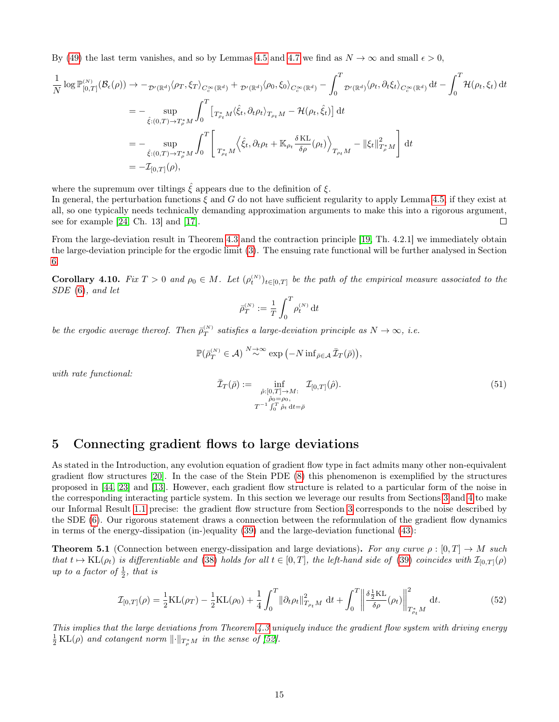By [\(49\)](#page-13-2) the last term vanishes, and so by Lemmas [4.5](#page-12-5) and [4.7](#page-13-1) we find as  $N \to \infty$  and small  $\epsilon > 0$ ,

$$
\frac{1}{N} \log \mathbb{P}_{[0,T]}^{(N)}(\mathcal{B}_{\epsilon}(\rho)) \to -\frac{1}{\mathcal{D}'(\mathbb{R}^{d})} \langle \rho_{T}, \xi_{T} \rangle_{C_{c}^{\infty}(\mathbb{R}^{d})} + \frac{1}{\mathcal{D}'(\mathbb{R}^{d})} \langle \rho_{0}, \xi_{0} \rangle_{C_{c}^{\infty}(\mathbb{R}^{d})} - \int_{0}^{T} \mathcal{D}'(\mathbb{R}^{d}) \langle \rho_{t}, \partial_{t} \xi_{t} \rangle_{C_{c}^{\infty}(\mathbb{R}^{d})} dt - \int_{0}^{T} \mathcal{H}(\rho_{t}, \xi_{t}) dt
$$
\n
$$
= - \sup_{\hat{\xi}: (0,T) \to T_{\rho}^{*} M} \int_{0}^{T} \left[ T_{\rho_{t}} M \langle \hat{\xi}_{t}, \partial_{t} \rho_{t} \rangle_{T_{\rho_{t}} M} - \mathcal{H}(\rho_{t}, \hat{\xi}_{t}) \right] dt
$$
\n
$$
= - \sup_{\hat{\xi}: (0,T) \to T_{\rho}^{*} M} \int_{0}^{T} \left[ T_{\rho_{t}} M \langle \hat{\xi}_{t}, \partial_{t} \rho_{t} + \mathbb{K}_{\rho_{t}} \frac{\delta \operatorname{KL}}{\delta \rho}(\rho_{t}) \rangle_{T_{\rho_{t}} M} - \|\xi_{t}\|_{T_{\rho}^{*} M}^{2} \right] dt
$$
\n
$$
= -\mathcal{I}_{[0,T]}(\rho),
$$

where the supremum over tiltings  $\hat{\xi}$  appears due to the definition of  $\xi$ .

In general, the perturbation functions  $\xi$  and G do not have sufficient regularity to apply Lemma [4.5,](#page-12-5) if they exist at all, so one typically needs technically demanding approximation arguments to make this into a rigorous argument, see for example [\[24,](#page-22-18) Ch. 13] and [\[17\]](#page-21-15).  $\Box$ 

From the large-deviation result in Theorem [4.3](#page-11-0) and the contraction principle [\[19,](#page-21-17) Th. 4.2.1] we immediately obtain the large-deviation principle for the ergodic limit [\(3\)](#page-0-1). The ensuing rate functional will be further analysed in Section [6.](#page-16-0)

**Corollary 4.10.** Fix  $T > 0$  and  $\rho_0 \in M$ . Let  $(\rho_t^{(N)})_{t \in [0,T]}$  be the path of the empirical measure associated to the SDE [\(6\)](#page-1-3), and let

$$
\bar{\rho}_T^{\scriptscriptstyle{(N)}}:=\frac{1}{T}\int_0^T\rho_t^{\scriptscriptstyle{(N)}}\,{\rm{d}} t
$$

be the ergodic average thereof. Then  $\bar{\rho}_T^{(N)}$  satisfies a large-deviation principle as  $N \to \infty$ , i.e.

<span id="page-14-2"></span>
$$
\mathbb{P}(\bar{\rho}_T^{(N)} \in \mathcal{A}) \stackrel{N \to \infty}{\sim} \exp(-N \inf_{\bar{\rho} \in \mathcal{A}} \bar{\mathcal{I}}_T(\bar{\rho})),
$$

with rate functional:

$$
\overline{\mathcal{I}}_T(\overline{\rho}) := \inf_{\substack{\hat{\rho}: [0,T] \to M:\\ \hat{\rho} \circ \overline{\rho} = \rho_0, \\ T^{-1} \int_0^T \hat{\rho}_t \, \mathrm{d}t = \overline{\rho}}} \mathcal{I}_{[0,T]}(\hat{\rho}). \tag{51}
$$

### <span id="page-14-0"></span>5 Connecting gradient flows to large deviations

As stated in the Introduction, any evolution equation of gradient flow type in fact admits many other non-equivalent gradient flow structures [\[20\]](#page-21-9). In the case of the Stein PDE [\(8\)](#page-2-0) this phenomenon is exemplified by the structures proposed in [\[44,](#page-22-6) [23\]](#page-21-8) and [\[13\]](#page-21-10). However, each gradient flow structure is related to a particular form of the noise in the corresponding interacting particle system. In this section we leverage our results from Sections [3](#page-6-0) and [4](#page-11-1) to make our Informal Result [1.1](#page-2-1) precise: the gradient flow structure from Section [3](#page-6-0) corresponds to the noise described by the SDE [\(6\)](#page-1-3). Our rigorous statement draws a connection between the reformulation of the gradient flow dynamics in terms of the energy-dissipation (in-)equality [\(39\)](#page-10-2) and the large-deviation functional [\(43\)](#page-11-3):

**Theorem 5.1** (Connection between energy-dissipation and large deviations). For any curve  $\rho : [0, T] \to M$  such that  $t \mapsto KL(\rho_t)$  is differentiable and [\(38\)](#page-10-1) holds for all  $t \in [0, T]$ , the left-hand side of [\(39\)](#page-10-2) coincides with  $\mathcal{I}_{[0,T]}(\rho)$ up to a factor of  $\frac{1}{2}$ , that is

<span id="page-14-1"></span>
$$
\mathcal{I}_{[0,T]}(\rho) = \frac{1}{2}KL(\rho_T) - \frac{1}{2}KL(\rho_0) + \frac{1}{4} \int_0^T \|\partial_t \rho_t\|_{T_{\rho_t}M}^2 dt + \int_0^T \left\| \frac{\delta \frac{1}{2}KL}{\delta \rho}(\rho_t) \right\|_{T_{\rho_t}^*M}^2 dt.
$$
 (52)

This implies that the large deviations from Theorem [4.3](#page-11-0) uniquely induce the gradient flow system with driving energy  $\frac{1}{2}$ KL( $\rho$ ) and cotangent norm  $\lVert \cdot \rVert_{T_{\rho}^{*}M}$  in the sense of [\[52\]](#page-23-22).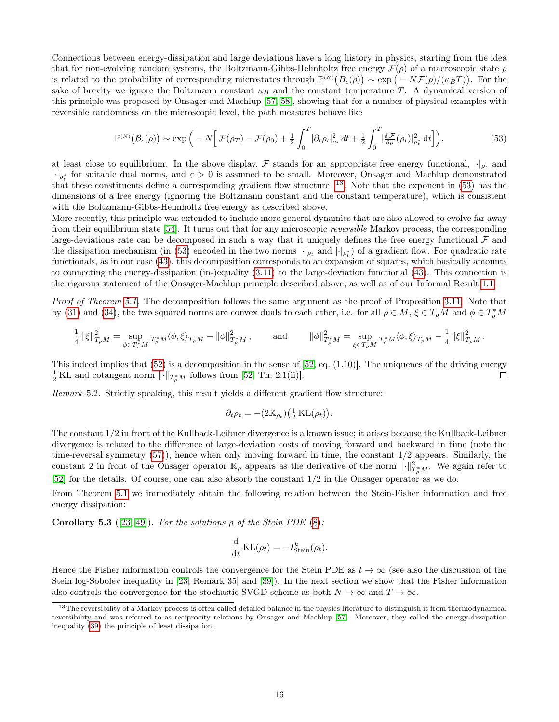Connections between energy-dissipation and large deviations have a long history in physics, starting from the idea that for non-evolving random systems, the Boltzmann-Gibbs-Helmholtz free energy  $\mathcal{F}(\rho)$  of a macroscopic state  $\rho$ is related to the probability of corresponding microstates through  $\mathbb{P}^{(N)}(B_{\epsilon}(\rho)) \sim \exp(-N \mathcal{F}(\rho)/(\kappa_B T))$ . For the sake of brevity we ignore the Boltzmann constant  $\kappa_B$  and the constant temperature T. A dynamical version of this principle was proposed by Onsager and Machlup [\[57,](#page-23-8) [58\]](#page-23-9), showing that for a number of physical examples with reversible randomness on the microscopic level, the path measures behave like

<span id="page-15-1"></span>
$$
\mathbb{P}^{(N)}\big(\mathcal{B}_{\epsilon}(\rho)\big) \sim \exp\Big(-N\Big[\mathcal{F}(\rho_T) - \mathcal{F}(\rho_0) + \frac{1}{2}\int_0^T |\partial_t \rho_t|_{\rho_t}^2 dt + \frac{1}{2}\int_0^T \big|\frac{\delta \mathcal{F}}{\delta \rho}(\rho_t)\big|_{\rho_t^*}^2 dt\Big]\Big),\tag{53}
$$

at least close to equilibrium. In the above display,  $\mathcal F$  stands for an appropriate free energy functional,  $|\cdot|_{\rho_t}$  and  $|\cdot|_{\rho_t^*}$  for suitable dual norms, and  $\varepsilon > 0$  is assumed to be small. Moreover, Onsager and Machlup demonstrated that these constituents define a corresponding gradient flow structure  $13$ . Note that the exponent in [\(53\)](#page-15-1) has the dimensions of a free energy (ignoring the Boltzmann constant and the constant temperature), which is consistent with the Boltzmann-Gibbs-Helmholtz free energy as described above.

More recently, this principle was extended to include more general dynamics that are also allowed to evolve far away from their equilibrium state [\[54\]](#page-23-7). It turns out that for any microscopic reversible Markov process, the corresponding large-deviations rate can be decomposed in such a way that it uniquely defines the free energy functional  $\mathcal F$  and the dissipation mechanism (in [\(53\)](#page-15-1) encoded in the two norms  $|\cdot|_{\rho_t}$  and  $|\cdot|_{\rho_t^*}$ ) of a gradient flow. For quadratic rate functionals, as in our case [\(43\)](#page-11-3), this decomposition corresponds to an expansion of squares, which basically amounts to connecting the energy-dissipation (in-)equality [\(3.11\)](#page-10-0) to the large-deviation functional [\(43\)](#page-11-3). This connection is the rigorous statement of the Onsager-Machlup principle described above, as well as of our Informal Result [1.1.](#page-2-1)

Proof of Theorem [5.1.](#page-14-1) The decomposition follows the same argument as the proof of Proposition [3.11.](#page-10-0) Note that by [\(31\)](#page-9-7) and [\(34\)](#page-9-5), the two squared norms are convex duals to each other, i.e. for all  $\rho \in M$ ,  $\xi \in T_\rho M$  and  $\phi \in T_\rho^*M$ 

$$
\frac{1}{4}\left\|\xi\right\|_{T_\rho M}^2 = \sup_{\phi \in T_\rho^*M} T_{_\rho^*M}^* \langle \phi, \xi \rangle_{T_\rho M} - \left\|\phi\right\|_{T_\rho^*M}^2, \qquad \text{ and } \qquad \|\phi\|_{T_\rho^*M}^2 = \sup_{\xi \in T_\rho M} T_{_\rho^*M}^* \langle \phi, \xi \rangle_{T_\rho M} - \frac{1}{4}\left\|\xi\right\|_{T_\rho M}^2.
$$

This indeed implies that  $(52)$  is a decomposition in the sense of  $[52, \text{ eq. } (1.10)]$  $[52, \text{ eq. } (1.10)]$ . The uniquenes of the driving energy  $\frac{1}{2}$  KL and cotangent norm  $\lVert \cdot \rVert_{T^*_\rho M}$  follows from [\[52,](#page-23-22) Th. 2.1(ii)].  $\Box$ 

Remark 5.2. Strictly speaking, this result yields a different gradient flow structure:

$$
\partial_t \rho_t = -(2\mathbb{K}_{\rho_t})\left(\frac{1}{2}\mathrm{KL}(\rho_t)\right).
$$

The constant 1/2 in front of the Kullback-Leibner divergence is a known issue; it arises because the Kullback-Leibner divergence is related to the difference of large-deviation costs of moving forward and backward in time (note the time-reversal symmetry [\(57\)](#page-16-2)), hence when only moving forward in time, the constant 1/2 appears. Similarly, the constant 2 in front of the Onsager operator  $\mathbb{K}_{\rho}$  appears as the derivative of the norm  $\|\cdot\|_{T^*_{\rho}M}^2$ . We again refer to [\[52\]](#page-23-22) for the details. Of course, one can also absorb the constant 1/2 in the Onsager operator as we do.

From Theorem [5.1](#page-14-1) we immediately obtain the following relation between the Stein-Fisher information and free energy dissipation:

Corollary 5.3 ([\[23,](#page-21-8) [49\]](#page-23-10)). For the solutions  $\rho$  of the Stein PDE [\(8\)](#page-2-0):

$$
\frac{\mathrm{d}}{\mathrm{d}t} \mathrm{KL}(\rho_t) = -I^k_{\mathrm{Stein}}(\rho_t).
$$

Hence the Fisher information controls the convergence for the Stein PDE as  $t \to \infty$  (see also the discussion of the Stein log-Sobolev inequality in [\[23,](#page-21-8) Remark 35] and [\[39\]](#page-22-12)). In the next section we show that the Fisher information also controls the convergence for the stochastic SVGD scheme as both  $N \to \infty$  and  $T \to \infty$ .

<span id="page-15-0"></span> $13$ The reversibility of a Markov process is often called detailed balance in the physics literature to distinguish it from thermodynamical reversibility and was referred to as reciprocity relations by Onsager and Machlup [\[57\]](#page-23-8). Moreover, they called the energy-dissipation inequality [\(39\)](#page-10-2) the principle of least dissipation.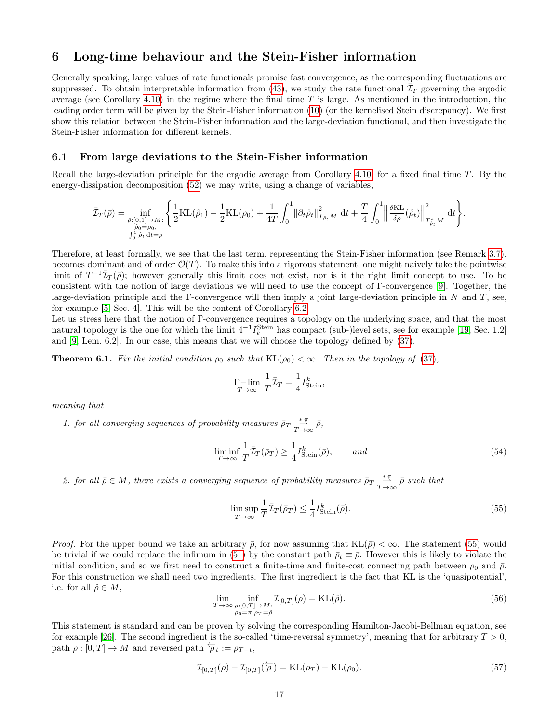# <span id="page-16-0"></span>6 Long-time behaviour and the Stein-Fisher information

Generally speaking, large values of rate functionals promise fast convergence, as the corresponding fluctuations are suppressed. To obtain interpretable information from [\(43\)](#page-11-3), we study the rate functional  $\bar{\mathcal{I}}_T$  governing the ergodic average (see Corollary [4.10\)](#page-14-2) in the regime where the final time  $T$  is large. As mentioned in the introduction, the leading order term will be given by the Stein-Fisher information [\(10\)](#page-3-1) (or the kernelised Stein discrepancy). We first show this relation between the Stein-Fisher information and the large-deviation functional, and then investigate the Stein-Fisher information for different kernels.

#### 6.1 From large deviations to the Stein-Fisher information

Recall the large-deviation principle for the ergodic average from Corollary [4.10,](#page-14-2) for a fixed final time T. By the energy-dissipation decomposition [\(52\)](#page-14-1) we may write, using a change of variables,

$$
\bar{\mathcal{I}}_T(\bar{\rho}) = \inf_{\substack{\hat{\rho}: [0,1]\to M:\\ \hat{\rho}_0 = \rho_0,\\ \int_0^1 \hat{\rho}_t \, \mathrm{d}t = \bar{\rho}}} \left\{ \frac{1}{2} \mathrm{KL}(\hat{\rho}_1) - \frac{1}{2} \mathrm{KL}(\rho_0) + \frac{1}{4T} \int_0^1 \lVert \partial_t \hat{\rho}_t \rVert_{T_{\hat{\rho}_t} M}^2 \, \mathrm{d}t + \frac{T}{4} \int_0^1 \lVert \frac{\delta \mathrm{KL}}{\delta \rho}(\hat{\rho}_t) \rVert_{T_{\hat{\rho}_t}^* M}^2 \, \mathrm{d}t \right\}.
$$

Therefore, at least formally, we see that the last term, representing the Stein-Fisher information (see Remark [3.7\)](#page-9-9), becomes dominant and of order  $\mathcal{O}(T)$ . To make this into a rigorous statement, one might naively take the pointwise limit of  $T^{-1}\bar{\mathcal{I}}_T(\bar{\rho})$ ; however generally this limit does not exist, nor is it the right limit concept to use. To be consistent with the notion of large deviations we will need to use the concept of Γ-convergence [\[9\]](#page-21-21). Together, the large-deviation principle and the Γ-convergence will then imply a joint large-deviation principle in N and T, see, for example [\[5,](#page-21-22) Sec. 4]. This will be the content of Corollary [6.2.](#page-17-0)

Let us stress here that the notion of Γ-convergence requires a topology on the underlying space, and that the most natural topology is the one for which the limit  $4^{-1}I_k^{\text{Stein}}$  has compact (sub-)level sets, see for example [\[19,](#page-21-17) Sec. 1.2] and [\[9,](#page-21-21) Lem. 6.2]. In our case, this means that we will choose the topology defined by [\(37\)](#page-10-3).

**Theorem 6.1.** Fix the initial condition  $\rho_0$  such that  $KL(\rho_0) < \infty$ . Then in the topology of [\(37\)](#page-10-3),

<span id="page-16-4"></span>
$$
\Gamma-\lim_{T\to\infty}\frac{1}{T}\bar{\mathcal{I}}_T=\frac{1}{4}I^k_{\text{Stein}},
$$

meaning that

1. for all converging sequences of probability measures  $\bar{\rho}_T \frac{\ast \pi}{T \to \infty} \bar{\rho}$ ,

$$
\liminf_{T \to \infty} \frac{1}{T} \bar{\mathcal{I}}_T(\bar{\rho}_T) \ge \frac{1}{4} I_{\text{Stein}}^k(\bar{\rho}), \qquad \text{and} \tag{54}
$$

2. for all  $\bar{\rho} \in M$ , there exists a converging sequence of probability measures  $\bar{\rho}_T \frac{\pi}{T \to \infty} \bar{\rho}$  such that

<span id="page-16-1"></span>
$$
\limsup_{T \to \infty} \frac{1}{T} \bar{\mathcal{I}}_T(\bar{\rho}_T) \le \frac{1}{4} I^k_{\text{Stein}}(\bar{\rho}).\tag{55}
$$

<span id="page-16-3"></span>*Proof.* For the upper bound we take an arbitrary  $\bar{\rho}$ , for now assuming that  $KL(\bar{\rho}) < \infty$ . The statement [\(55\)](#page-16-1) would be trivial if we could replace the infimum in [\(51\)](#page-14-2) by the constant path  $\bar{\rho}_t \equiv \bar{\rho}$ . However this is likely to violate the initial condition, and so we first need to construct a finite-time and finite-cost connecting path between  $\rho_0$  and  $\bar{\rho}$ . For this construction we shall need two ingredients. The first ingredient is the fact that KL is the 'quasipotential', i.e. for all  $\hat{\rho} \in M$ ,

<span id="page-16-2"></span>
$$
\lim_{T \to \infty} \inf_{\substack{\rho:[0,T] \to M:\\ \rho_0 = \pi, \rho_T = \hat{\rho}}} \mathcal{I}_{[0,T]}(\rho) = \text{KL}(\hat{\rho}).
$$
\n(56)

This statement is standard and can be proven by solving the corresponding Hamilton-Jacobi-Bellman equation, see for example [\[26\]](#page-22-22). The second ingredient is the so-called 'time-reversal symmetry', meaning that for arbitrary  $T > 0$ , path  $\rho : [0, T] \to M$  and reversed path  $\overleftarrow{\rho}_t := \rho_{T-t}$ ,

$$
\mathcal{I}_{[0,T]}(\rho) - \mathcal{I}_{[0,T]}(\overleftarrow{\rho}) = \text{KL}(\rho_T) - \text{KL}(\rho_0). \tag{57}
$$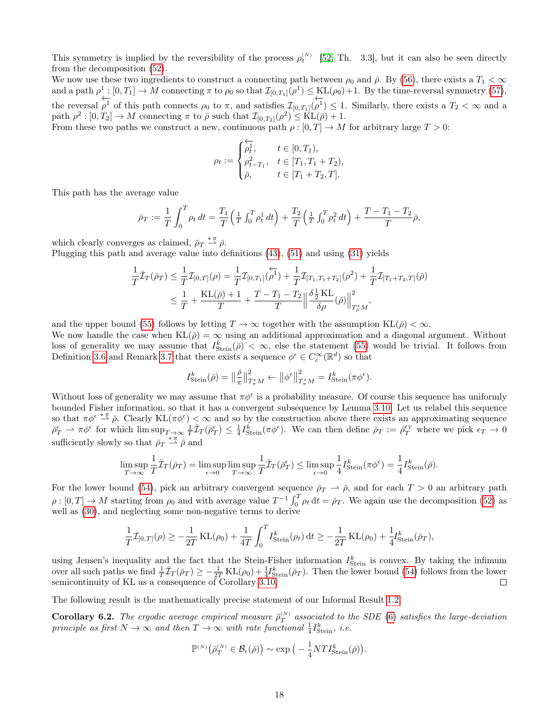This symmetry is implied by the reversibility of the process  $\rho_t^{(N)}$  [\[52,](#page-23-22) Th. 3.3], but it can also be seen directly from the decomposition [\(52\)](#page-14-1).

We now use these two ingredients to construct a connecting path between  $\rho_0$  and  $\bar{\rho}$ . By [\(56\)](#page-16-3), there exists a  $T_1 < \infty$ and a path  $\rho^1:[0,T_1]\to M$  connecting  $\pi$  to  $\rho_0$  so that  $\mathcal{I}_{[0,T_1]}(\rho^1)\leq \mathrm{KL}(\rho_0)+1$ . By the time-reversal symmetry [\(57\)](#page-16-2), the reversal ←−  $\overleftarrow{\rho}^1$  of this path connects  $\rho_0$  to  $\pi$ , and satisfies  $\mathcal{I}_{[0,T_1]}(\overrightarrow{\rho}^1)$  $(\rho^1) \leq 1$ . Similarly, there exists a  $T_2 < \infty$  and a path  $\rho^2: [0, T_2] \to M$  connecting  $\pi$  to  $\bar{\rho}$  such that  $\mathcal{I}_{[0, T_2]}(\rho^2) \leq \text{KL}(\bar{\rho}) + 1$ .

From these two paths we construct a new, continuous path  $\rho : [0, T] \to M$  for arbitrary large  $T > 0$ :

$$
\rho_t:=\begin{cases} \overleftarrow{\rho_t^1}, & t\in [0,T_1),\\ \rho_{t-T_1}^2, & t\in [T_1,T_1+T_2),\\ \bar{\rho}, & t\in [T_1+T_2,T]. \end{cases}
$$

This path has the average value

$$
\bar{\rho}_T := \frac{1}{T} \int_0^T \rho_t \, dt = \frac{T_1}{T} \left( \frac{1}{T} \int_0^T \rho_t^1 \, dt \right) + \frac{T_2}{T} \left( \frac{1}{T} \int_0^T \rho_t^2 \, dt \right) + \frac{T - T_1 - T_2}{T} \bar{\rho},
$$

which clearly converges as claimed,  $\bar{\rho}_T \stackrel{*\pi}{\rightharpoonup} \bar{\rho}$ .

Plugging this path and average value into definitions [\(43\)](#page-11-3), [\(51\)](#page-14-2) and using [\(31\)](#page-9-7) yields

$$
\frac{1}{T}\bar{\mathcal{I}}_T(\bar{\rho}_T) \leq \frac{1}{T}\mathcal{I}_{[0,T]}(\rho) = \frac{1}{T}\mathcal{I}_{[0,T_1]}(\overleftarrow{\rho^1}) + \frac{1}{T}\mathcal{I}_{[T_1,T_1+T_2]}(\rho^2) + \frac{1}{T}\mathcal{I}_{[T_1+T_2,T]}(\bar{\rho}) \n\leq \frac{1}{T} + \frac{\mathrm{KL}(\bar{\rho}) + 1}{T} + \frac{T - T_1 - T_2}{T} \Big\|\frac{\delta \frac{1}{2} \mathrm{KL}}{\delta \rho}(\bar{\rho})\Big\|_{T^*_\rho M}^2,
$$

and the upper bound [\(55\)](#page-16-1) follows by letting  $T \to \infty$  together with the assumption  $KL(\bar{\rho}) < \infty$ .

We now handle the case when  $KL(\bar{\rho}) = \infty$  using an additional approximation and a diagonal argument. Without loss of generality we may assume that  $I_{Stein}^k(\bar{\rho}) < \infty$ , else the statement [\(55\)](#page-16-1) would be trivial. It follows from Definition [3.6](#page-9-1) and Remark [3.7](#page-9-9) that there exists a sequence  $\phi^{\epsilon} \in C_c^{\infty}(\mathbb{R}^d)$  so that

$$
I^k_{\mathrm{Stein}}(\bar{\rho}) = \left\|\frac{\bar{\rho}}{\pi}\right\|_{T^*_\pi M}^2 \leftarrow \left\|\phi^{\epsilon}\right\|_{T^*_\pi M}^2 = I^k_{\mathrm{Stein}}(\pi \phi^{\epsilon}).
$$

Without loss of generality we may assume that  $\pi\phi^{\epsilon}$  is a probability measure. Of course this sequence has uniformly bounded Fisher information, so that it has a convergent subsequence by Lemma [3.10.](#page-10-3) Let us relabel this sequence so that  $\pi\phi^{\epsilon} \stackrel{*}{\rightharpoonup} \bar{\rho}$ . Clearly KL $(\pi\phi^{\epsilon}) < \infty$  and so by the construction above there exists an approximating sequence  $\bar{\rho}_T^{\epsilon} \rightharpoonup \pi \phi^{\epsilon}$  for which  $\limsup_{T \to \infty} \frac{1}{T} \bar{\mathcal{I}}_T(\bar{\rho}_T^{\epsilon}) \leq \frac{1}{4} I_{\text{Stein}}^{\tilde{k}}(\pi \phi^{\epsilon})$ . We can then define  $\bar{\rho}_T := \bar{\rho}_T^{\epsilon_T}$  where we pick  $\epsilon_T \to 0$ sufficiently slowly so that  $\bar{\rho}_T \stackrel{*\pi}{\rightharpoonup} \bar{\rho}$  and

$$
\limsup_{T \to \infty} \frac{1}{T} \overline{\mathcal{I}}_T(\overline{\rho}_T) = \limsup_{\epsilon \to 0} \limsup_{T \to \infty} \frac{1}{T} \overline{\mathcal{I}}_T(\overline{\rho}_T^{\epsilon}) \le \limsup_{\epsilon \to 0} \frac{1}{4} I^k_{\text{Stein}}(\pi \phi^{\epsilon}) = \frac{1}{4} I^k_{\text{Stein}}(\overline{\rho}).
$$

For the lower bound [\(54\)](#page-16-4), pick an arbitrary convergent sequence  $\bar{p}_T \to \bar{p}$ , and for each  $T > 0$  an arbitrary path  $\rho: [0,T] \to M$  starting from  $\rho_0$  and with average value  $T^{-1} \int_0^T \rho_t dt = \bar{\rho}_T$ . We again use the decomposition [\(52\)](#page-14-1) as well as  $(30)$ , and neglecting some non-negative terms to derive

$$
\frac{1}{T}\mathcal{I}_{[0,T]}(\rho) \ge -\frac{1}{2T} \mathrm{KL}(\rho_0) + \frac{1}{4T} \int_0^T I_{\text{Stein}}^k(\rho_t) dt \ge -\frac{1}{2T} \mathrm{KL}(\rho_0) + \frac{1}{4} I_{\text{Stein}}^k(\bar{\rho}_T),
$$

using Jensen's inequality and the fact that the Stein-Fisher information  $I_{Stein}^k$  is convex. By taking the infimum over all such paths we find  $\frac{1}{T}\bar{\mathcal{I}}_T(\bar{\rho}_T) \geq -\frac{1}{2T}KL(\rho_0) + \frac{1}{4}I_{Stein}^k(\bar{\rho}_T)$ . Then the lower bound [\(54\)](#page-16-4) follows from the lower semicontinuity of KL as a consequence of Corollary [3.10.](#page-10-3)

The following result is the mathematically precise statement of our Informal Result [1.2.](#page-3-4)

<span id="page-17-0"></span>**Corollary 6.2.** The ergodic average empirical measure  $\bar{\rho}_T^{(N)}$  associated to the SDE [\(6\)](#page-1-3) satisfies the large-deviation principle as first  $N \to \infty$  and then  $T \to \infty$  with rate functional  $\frac{1}{4} I_{\text{Stein}}^k$ , i.e.

$$
\mathbb{P}^{(N)}\big(\bar{\rho}_T^{(N)} \in \mathcal{B}_{\epsilon}(\bar{\rho})\big) \sim \exp\big(-\frac{1}{4}NTI_{\text{Stein}}^k(\bar{\rho})\big).
$$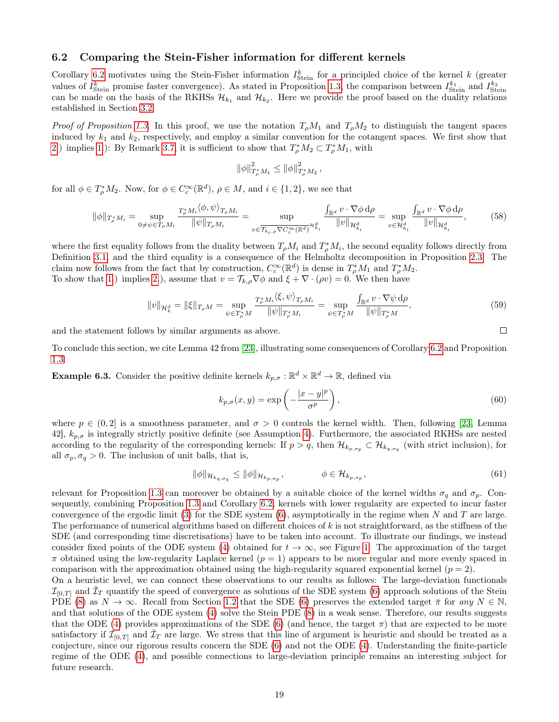### <span id="page-18-0"></span>6.2 Comparing the Stein-Fisher information for different kernels

Corollary [6.2](#page-17-0) motivates using the Stein-Fisher information  $I_{Stein}^k$  for a principled choice of the kernel k (greater values of  $I_{Stein}^k$  promise faster convergence). As stated in Proposition [1.3,](#page-3-3) the comparison between  $I_{Stein}^{k_1}$  and  $I_{Stein}^{k_2}$ can be made on the basis of the RKHSs  $\mathcal{H}_{k_1}$  and  $\mathcal{H}_{k_2}$ . Here we provide the proof based on the duality relations established in Section [3.2.](#page-8-0)

Proof of Proposition [1.3.](#page-3-3) In this proof, we use the notation  $T_{\rho}M_1$  and  $T_{\rho}M_2$  to distinguish the tangent spaces induced by  $k_1$  and  $k_2$ , respectively, and employ a similar convention for the cotangent spaces. We first show that [2.](#page-3-5)) implies [1.](#page-3-6)): By Remark [3.7,](#page-9-9) it is sufficient to show that  $T_{\rho}^* M_2 \subset T_{\rho}^* M_1$ , with

$$
\|\phi\|_{T_{\rho}^*M_1}^2 \le \|\phi\|_{T_{\rho}^*M_2}^2\,,
$$

for all  $\phi \in T_{\rho}^* M_2$ . Now, for  $\phi \in C_c^{\infty}(\mathbb{R}^d)$ ,  $\rho \in M$ , and  $i \in \{1,2\}$ , we see that

$$
\|\phi\|_{T^*_\rho M_i} = \sup_{0 \neq \psi \in T_\rho M_i} \frac{T^*_\rho M_i \langle \phi, \psi \rangle_{T_\rho M_i}}{\|\psi\|_{T_\rho M_i}} = \sup_{v \in \overline{\mathcal{T}_{k_i, \rho} \nabla C_c^\infty(\mathbb{R}^d)} \mathcal{H}_{k_i}^d} \frac{\int_{\mathbb{R}^d} v \cdot \nabla \phi \, d\rho}{\|v\|_{\mathcal{H}_{k_i}^d}} = \sup_{v \in \mathcal{H}_{k_i}^d} \frac{\int_{\mathbb{R}^d} v \cdot \nabla \phi \, d\rho}{\|v\|_{\mathcal{H}_{k_i}^d}},\tag{58}
$$

where the first equality follows from the duality between  $T_{\rho}M_i$  and  $T_{\rho}^*M_i$ , the second equality follows directly from Definition [3.1,](#page-7-4) and the third equality is a consequence of the Helmholtz decomposition in Proposition [2.3.](#page-6-4) The claim now follows from the fact that by construction,  $C_c^{\infty}(\mathbb{R}^d)$  is dense in  $T_\rho^*M_1$  and  $T_\rho^*M_2$ . To show that [1.](#page-3-6)) implies [2.](#page-3-5)), assume that  $v = \mathcal{T}_{k,\rho} \nabla \phi$  and  $\xi + \nabla \cdot (\rho v) = 0$ . We then have

$$
||v||_{\mathcal{H}_k^d} = ||\xi||_{T_\rho M} = \sup_{\psi \in T_\rho^* M} \frac{T_\rho^* M_i \langle \xi, \psi \rangle_{T_\rho M_i}}{||\psi||_{T_\rho^* M_i}} = \sup_{\psi \in T_\rho^* M} \frac{\int_{\mathbb{R}^d} v \cdot \nabla \psi \, d\rho}{||\psi||_{T_\rho^* M}},
$$
(59)

and the statement follows by similar arguments as above.

To conclude this section, we cite Lemma 42 from [\[23\]](#page-21-8), illustrating some consequences of Corollary [6.2](#page-17-0) and Proposition [1.3:](#page-3-3)

**Example 6.3.** Consider the positive definite kernels  $k_{p,\sigma}: \mathbb{R}^d \times \mathbb{R}^d \to \mathbb{R}$ , defined via

$$
k_{p,\sigma}(x,y) = \exp\left(-\frac{|x-y|^p}{\sigma^p}\right),\tag{60}
$$

where  $p \in (0, 2]$  is a smoothness parameter, and  $\sigma > 0$  controls the kernel width. Then, following [\[23,](#page-21-8) Lemma 42],  $k_{p,\sigma}$  is integrally strictly positive definite (see Assumption [4\)](#page-5-2). Furthermore, the associated RKHSs are nested according to the regularity of the corresponding kernels: If  $p > q$ , then  $\mathcal{H}_{k_{p,\sigma_p}} \subset \mathcal{H}_{k_{q,\sigma_q}}$  (with strict inclusion), for all  $\sigma_p, \sigma_q > 0$ . The inclusion of unit balls, that is,

$$
\|\phi\|_{\mathcal{H}_{k_q,\sigma_q}} \le \|\phi\|_{\mathcal{H}_{k_p,\sigma_p}}, \qquad \phi \in \mathcal{H}_{k_{p,\sigma_p}}, \tag{61}
$$

relevant for Proposition [1.3](#page-3-3) can moreover be obtained by a suitable choice of the kernel widths  $\sigma_q$  and  $\sigma_p$ . Consequently, combining Proposition [1.3](#page-3-3) and Corollary [6.2,](#page-17-0) kernels with lower regularity are expected to incur faster convergence of the ergodic limit [\(3\)](#page-0-1) for the SDE system [\(6\)](#page-1-3), asymptotically in the regime when N and T are large. The performance of numerical algorithms based on different choices of  $k$  is not straightforward, as the stiffness of the SDE (and corresponding time discretisations) have to be taken into account. To illustrate our findings, we instead consider fixed points of the ODE system [\(4\)](#page-1-2) obtained for  $t \to \infty$ , see Figure [1.](#page-19-1) The approximation of the target  $\pi$  obtained using the low-regularity Laplace kernel  $(p = 1)$  appears to be more regular and more evenly spaced in comparison with the approximation obtained using the high-regularity squared exponential kernel  $(p = 2)$ .

On a heuristic level, we can connect these observations to our results as follows: The large-deviation functionals  $\mathcal{I}_{[0,T]}$  and  $\bar{\mathcal{I}}_T$  quantify the speed of convergence as solutions of the SDE system [\(6\)](#page-1-3) approach solutions of the Stein PDE [\(8\)](#page-2-0) as  $N \to \infty$ . Recall from Section [1.2](#page-2-3) that the SDE [\(6\)](#page-1-3) preserves the extended target  $\bar{\pi}$  for any  $N \in \mathbb{N}$ , and that solutions of the ODE system [\(4\)](#page-1-2) solve the Stein PDE [\(8\)](#page-2-0) in a weak sense. Therefore, our results suggests that the ODE [\(4\)](#page-1-2) provides approximations of the SDE [\(6\)](#page-1-3) (and hence, the target  $\pi$ ) that are expected to be more satisfactory if  $\mathcal{I}_{[0,T]}$  and  $\bar{\mathcal{I}}_T$  are large. We stress that this line of argument is heuristic and should be treated as a conjecture, since our rigorous results concern the SDE [\(6\)](#page-1-3) and not the ODE [\(4\)](#page-1-2). Understanding the finite-particle regime of the ODE [\(4\)](#page-1-2), and possible connections to large-deviation principle remains an interesting subject for future research.

 $\Box$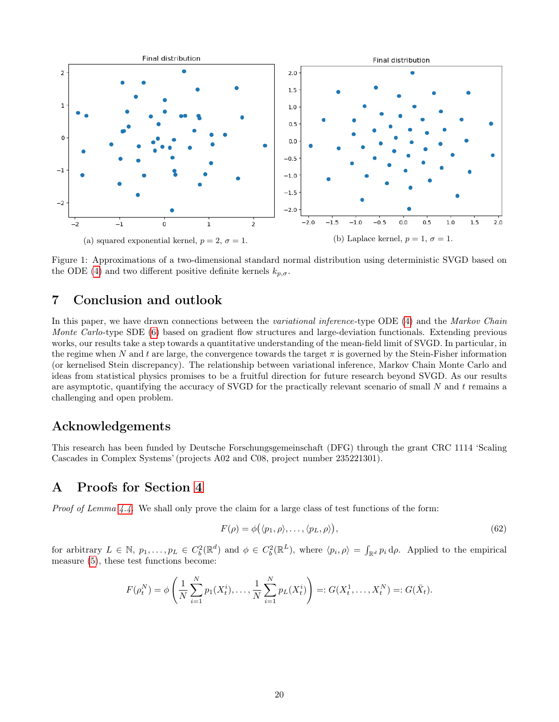<span id="page-19-1"></span>

Figure 1: Approximations of a two-dimensional standard normal distribution using deterministic SVGD based on the ODE [\(4\)](#page-1-2) and two different positive definite kernels  $k_{p,\sigma}$ .

# <span id="page-19-0"></span>7 Conclusion and outlook

In this paper, we have drawn connections between the variational inference-type ODE [\(4\)](#page-1-2) and the Markov Chain Monte Carlo-type SDE [\(6\)](#page-1-3) based on gradient flow structures and large-deviation functionals. Extending previous works, our results take a step towards a quantitative understanding of the mean-field limit of SVGD. In particular, in the regime when N and t are large, the convergence towards the target  $\pi$  is governed by the Stein-Fisher information (or kernelised Stein discrepancy). The relationship between variational inference, Markov Chain Monte Carlo and ideas from statistical physics promises to be a fruitful direction for future research beyond SVGD. As our results are asymptotic, quantifying the accuracy of SVGD for the practically relevant scenario of small  $N$  and  $t$  remains a challenging and open problem.

# Acknowledgements

This research has been funded by Deutsche Forschungsgemeinschaft (DFG) through the grant CRC 1114 'Scaling Cascades in Complex Systems' (projects A02 and C08, project number 235221301).

# A Proofs for Section [4](#page-11-1)

Proof of Lemma [4.4.](#page-12-6) We shall only prove the claim for a large class of test functions of the form:

<span id="page-19-2"></span>
$$
F(\rho) = \phi(\langle p_1, \rho \rangle, \dots, \langle p_L, \rho \rangle),\tag{62}
$$

for arbitrary  $L \in \mathbb{N}$ ,  $p_1, \ldots, p_L \in C_b^2(\mathbb{R}^d)$  and  $\phi \in C_b^2(\mathbb{R}^L)$ , where  $\langle p_i, \rho \rangle = \int_{\mathbb{R}^d} p_i d\rho$ . Applied to the empirical measure [\(5\)](#page-1-4), these test functions become:

$$
F(\rho_t^N) = \phi\left(\frac{1}{N} \sum_{i=1}^N p_1(X_t^i), \dots, \frac{1}{N} \sum_{i=1}^N p_L(X_t^i)\right) =: G(X_t^1, \dots, X_t^N) =: G(\bar{X}_t).
$$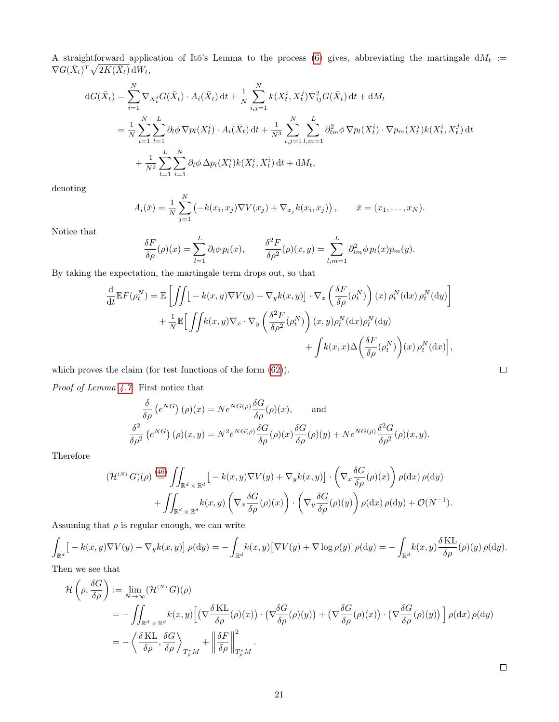A straightforward application of Itô's Lemma to the process [\(6\)](#page-1-3) gives, abbreviating the martingale  $dM_t :=$  $\nabla G(\bar{X}_t)^T \sqrt{2K(\bar{X}_t)} \, \mathrm{d}W_t,$ 

$$
dG(\bar{X}_t) = \sum_{i=1}^N \nabla_{X_i^i} G(\bar{X}_t) \cdot A_i(\bar{X}_t) dt + \frac{1}{N} \sum_{i,j=1}^N k(X_t^i, X_t^j) \nabla_{ij}^2 G(\bar{X}_t) dt + dM_t
$$
  
\n
$$
= \frac{1}{N} \sum_{i=1}^N \sum_{l=1}^L \partial_l \phi \nabla p_l(X_t^i) \cdot A_i(\bar{X}_t) dt + \frac{1}{N^3} \sum_{i,j=1}^N \sum_{l,m=1}^L \partial_{lm}^2 \phi \nabla p_l(X_t^i) \cdot \nabla p_m(X_t^j) k(X_t^i, X_t^j) dt
$$
  
\n
$$
+ \frac{1}{N^2} \sum_{l=1}^L \sum_{i=1}^N \partial_l \phi \Delta p_l(X_t^i) k(X_t^i, X_t^i) dt + dM_t,
$$

denoting

$$
A_i(\bar{x}) = \frac{1}{N} \sum_{j=1}^N \left( -k(x_i, x_j) \nabla V(x_j) + \nabla_{x_j} k(x_i, x_j) \right), \qquad \bar{x} = (x_1, \dots, x_N).
$$

Notice that

$$
\frac{\delta F}{\delta \rho}(\rho)(x) = \sum_{l=1}^{L} \partial_l \phi \, p_l(x), \qquad \frac{\delta^2 F}{\delta \rho^2}(\rho)(x, y) = \sum_{l,m=1}^{L} \partial_{lm}^2 \phi \, p_l(x) p_m(y).
$$

By taking the expectation, the martingale term drops out, so that

$$
\frac{d}{dt} \mathbb{E} F(\rho_t^N) = \mathbb{E} \left[ \iint \left[ -k(x, y) \nabla V(y) + \nabla_y k(x, y) \right] \cdot \nabla_x \left( \frac{\delta F}{\delta \rho} (\rho_t^N) \right) (x) \rho_t^N(\mathrm{d}x) \rho_t^N(\mathrm{d}y) \right] \n+ \frac{1}{N} \mathbb{E} \left[ \iint k(x, y) \nabla_x \cdot \nabla_y \left( \frac{\delta^2 F}{\delta \rho^2} (\rho_t^N) \right) (x, y) \rho_t^N(\mathrm{d}x) \rho_t^N(\mathrm{d}y) \n+ \int k(x, x) \Delta \left( \frac{\delta F}{\delta \rho} (\rho_t^N) \right) (x) \rho_t^N(\mathrm{d}x) \right],
$$

which proves the claim (for test functions of the form [\(62\)](#page-19-2)).

Proof of Lemma [4.7.](#page-13-1) First notice that

$$
\frac{\delta}{\delta \rho} (e^{NG}) (\rho)(x) = N e^{NG(\rho)} \frac{\delta G}{\delta \rho} (\rho)(x), \quad \text{and}
$$
  

$$
\frac{\delta^2}{\delta \rho^2} (e^{NG}) (\rho)(x, y) = N^2 e^{NG(\rho)} \frac{\delta G}{\delta \rho} (\rho)(x) \frac{\delta G}{\delta \rho} (\rho)(y) + N e^{NG(\rho)} \frac{\delta^2 G}{\delta \rho^2} (\rho)(x, y).
$$

Therefore

$$
(\mathcal{H}^{(N)} G)(\rho) \stackrel{\text{(46)}}{=} \iint_{\mathbb{R}^d \times \mathbb{R}^d} \left[ -k(x, y) \nabla V(y) + \nabla_y k(x, y) \right] \cdot \left( \nabla_x \frac{\delta G}{\delta \rho}(\rho)(x) \right) \rho(\mathrm{d}x) \rho(\mathrm{d}y) + \iint_{\mathbb{R}^d \times \mathbb{R}^d} k(x, y) \left( \nabla_x \frac{\delta G}{\delta \rho}(\rho)(x) \right) \cdot \left( \nabla_y \frac{\delta G}{\delta \rho}(\rho)(y) \right) \rho(\mathrm{d}x) \rho(\mathrm{d}y) + \mathcal{O}(N^{-1}).
$$

Assuming that  $\rho$  is regular enough, we can write

$$
\int_{\mathbb{R}^d} \left[ -k(x, y) \nabla V(y) + \nabla_y k(x, y) \right] \rho(\mathrm{d}y) = -\int_{\mathbb{R}^d} k(x, y) \left[ \nabla V(y) + \nabla \log \rho(y) \right] \rho(\mathrm{d}y) = -\int_{\mathbb{R}^d} k(x, y) \frac{\delta \mathrm{KL}}{\delta \rho}(\rho)(y) \rho(\mathrm{d}y).
$$

Then we see that

$$
\mathcal{H}\left(\rho, \frac{\delta G}{\delta \rho}\right) := \lim_{N \to \infty} (\mathcal{H}^{(N)} G)(\rho)
$$
\n
$$
= -\iint_{\mathbb{R}^d \times \mathbb{R}^d} k(x, y) \left[ \left( \nabla \frac{\delta \mathcal{K}L}{\delta \rho}(\rho)(x) \right) \cdot \left( \nabla \frac{\delta G}{\delta \rho}(\rho)(y) \right) + \left( \nabla \frac{\delta G}{\delta \rho}(\rho)(x) \right) \cdot \left( \nabla \frac{\delta G}{\delta \rho}(\rho)(y) \right) \right] \rho(\mathrm{d}x) \rho(\mathrm{d}y)
$$
\n
$$
= -\left\langle \frac{\delta \mathcal{K}L}{\delta \rho}, \frac{\delta G}{\delta \rho} \right\rangle_{T^*_\rho M} + \left\| \frac{\delta F}{\delta \rho} \right\|^2_{T^*_\rho M}.
$$

 $\Box$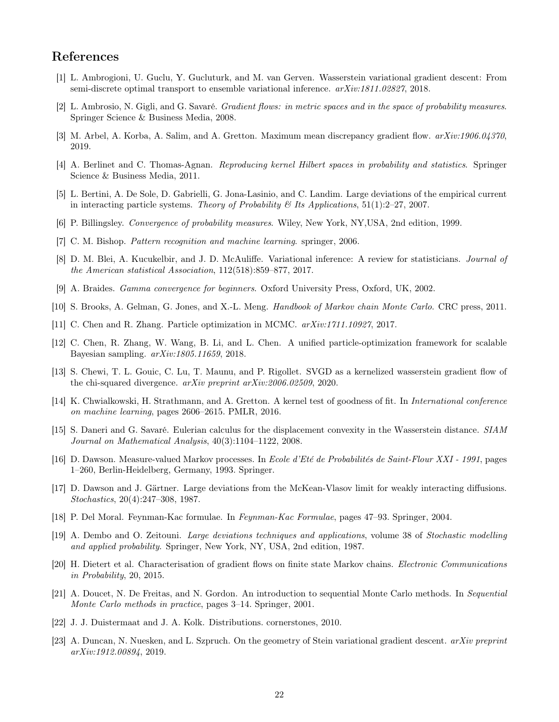# References

- <span id="page-21-3"></span>[1] L. Ambrogioni, U. Guclu, Y. Gucluturk, and M. van Gerven. Wasserstein variational gradient descent: From semi-discrete optimal transport to ensemble variational inference. arXiv:1811.02827, 2018.
- <span id="page-21-6"></span>[2] L. Ambrosio, N. Gigli, and G. Savaré. Gradient flows: in metric spaces and in the space of probability measures. Springer Science & Business Media, 2008.
- <span id="page-21-7"></span>[3] M. Arbel, A. Korba, A. Salim, and A. Gretton. Maximum mean discrepancy gradient flow. arXiv:1906.04370, 2019.
- <span id="page-21-12"></span>[4] A. Berlinet and C. Thomas-Agnan. Reproducing kernel Hilbert spaces in probability and statistics. Springer Science & Business Media, 2011.
- <span id="page-21-22"></span>[5] L. Bertini, A. De Sole, D. Gabrielli, G. Jona-Lasinio, and C. Landim. Large deviations of the empirical current in interacting particle systems. Theory of Probability  $\mathcal{B}$  Its Applications, 51(1):2–27, 2007.
- <span id="page-21-16"></span>[6] P. Billingsley. Convergence of probability measures. Wiley, New York, NY,USA, 2nd edition, 1999.
- <span id="page-21-0"></span>[7] C. M. Bishop. Pattern recognition and machine learning. springer, 2006.
- <span id="page-21-1"></span>[8] D. M. Blei, A. Kucukelbir, and J. D. McAuliffe. Variational inference: A review for statisticians. Journal of the American statistical Association, 112(518):859–877, 2017.
- <span id="page-21-21"></span>[9] A. Braides. Gamma convergence for beginners. Oxford University Press, Oxford, UK, 2002.
- <span id="page-21-2"></span>[10] S. Brooks, A. Gelman, G. Jones, and X.-L. Meng. Handbook of Markov chain Monte Carlo. CRC press, 2011.
- <span id="page-21-4"></span>[11] C. Chen and R. Zhang. Particle optimization in MCMC. arXiv:1711.10927, 2017.
- <span id="page-21-5"></span>[12] C. Chen, R. Zhang, W. Wang, B. Li, and L. Chen. A unified particle-optimization framework for scalable Bayesian sampling. arXiv:1805.11659, 2018.
- <span id="page-21-10"></span>[13] S. Chewi, T. L. Gouic, C. Lu, T. Maunu, and P. Rigollet. SVGD as a kernelized wasserstein gradient flow of the chi-squared divergence. arXiv preprint arXiv:2006.02509, 2020.
- <span id="page-21-11"></span>[14] K. Chwialkowski, H. Strathmann, and A. Gretton. A kernel test of goodness of fit. In International conference on machine learning, pages 2606–2615. PMLR, 2016.
- <span id="page-21-13"></span>[15] S. Daneri and G. Savaré. Eulerian calculus for the displacement convexity in the Wasserstein distance. SIAM Journal on Mathematical Analysis, 40(3):1104–1122, 2008.
- <span id="page-21-20"></span>[16] D. Dawson. Measure-valued Markov processes. In Ecole d'Eté de Probabilités de Saint-Flour XXI - 1991, pages 1–260, Berlin-Heidelberg, Germany, 1993. Springer.
- <span id="page-21-15"></span>[17] D. Dawson and J. Gärtner. Large deviations from the McKean-Vlasov limit for weakly interacting diffusions. Stochastics, 20(4):247–308, 1987.
- <span id="page-21-18"></span>[18] P. Del Moral. Feynman-Kac formulae. In Feynman-Kac Formulae, pages 47–93. Springer, 2004.
- <span id="page-21-17"></span>[19] A. Dembo and O. Zeitouni. Large deviations techniques and applications, volume 38 of Stochastic modelling and applied probability. Springer, New York, NY, USA, 2nd edition, 1987.
- <span id="page-21-9"></span>[20] H. Dietert et al. Characterisation of gradient flows on finite state Markov chains. Electronic Communications in Probability, 20, 2015.
- <span id="page-21-19"></span>[21] A. Doucet, N. De Freitas, and N. Gordon. An introduction to sequential Monte Carlo methods. In Sequential Monte Carlo methods in practice, pages 3–14. Springer, 2001.
- <span id="page-21-14"></span>[22] J. J. Duistermaat and J. A. Kolk. Distributions. cornerstones, 2010.
- <span id="page-21-8"></span>[23] A. Duncan, N. Nuesken, and L. Szpruch. On the geometry of Stein variational gradient descent. arXiv preprint arXiv:1912.00894, 2019.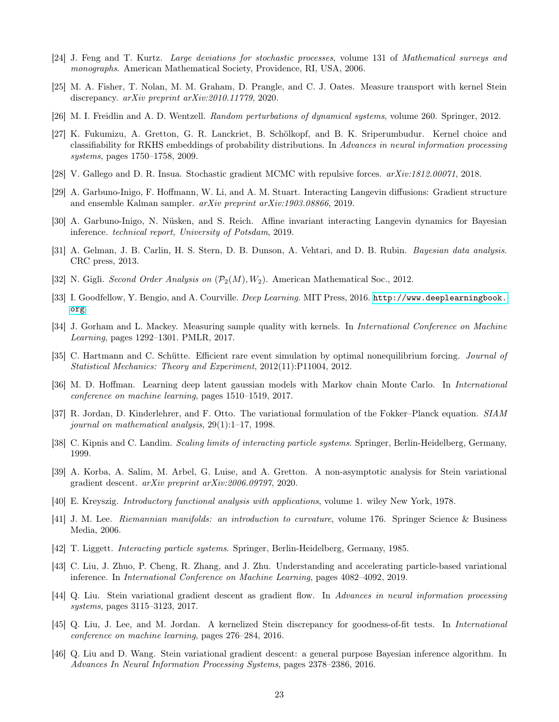- <span id="page-22-18"></span>[24] J. Feng and T. Kurtz. Large deviations for stochastic processes, volume 131 of Mathematical surveys and monographs. American Mathematical Society, Providence, RI, USA, 2006.
- <span id="page-22-10"></span>[25] M. A. Fisher, T. Nolan, M. M. Graham, D. Prangle, and C. J. Oates. Measure transport with kernel Stein discrepancy. arXiv preprint arXiv:2010.11779, 2020.
- <span id="page-22-22"></span>[26] M. I. Freidlin and A. D. Wentzell. Random perturbations of dynamical systems, volume 260. Springer, 2012.
- <span id="page-22-13"></span>[27] K. Fukumizu, A. Gretton, G. R. Lanckriet, B. Schölkopf, and B. K. Sriperumbudur. Kernel choice and classifiability for RKHS embeddings of probability distributions. In Advances in neural information processing systems, pages 1750–1758, 2009.
- <span id="page-22-8"></span>[28] V. Gallego and D. R. Insua. Stochastic gradient MCMC with repulsive forces. arXiv:1812.00071, 2018.
- <span id="page-22-4"></span>[29] A. Garbuno-Inigo, F. Hoffmann, W. Li, and A. M. Stuart. Interacting Langevin diffusions: Gradient structure and ensemble Kalman sampler. arXiv preprint arXiv:1903.08866, 2019.
- <span id="page-22-5"></span>[30] A. Garbuno-Inigo, N. Nüsken, and S. Reich. Affine invariant interacting Langevin dynamics for Bayesian inference. technical report, University of Potsdam, 2019.
- <span id="page-22-15"></span>[31] A. Gelman, J. B. Carlin, H. S. Stern, D. B. Dunson, A. Vehtari, and D. B. Rubin. Bayesian data analysis. CRC press, 2013.
- <span id="page-22-14"></span>[32] N. Gigli. Second Order Analysis on  $(\mathcal{P}_2(M), W_2)$ . American Mathematical Soc., 2012.
- <span id="page-22-0"></span>[33] I. Goodfellow, Y. Bengio, and A. Courville. *Deep Learning*. MIT Press, 2016. [http://www.deeplearningbook.](http://www.deeplearningbook.org) [org](http://www.deeplearningbook.org).
- <span id="page-22-11"></span>[34] J. Gorham and L. Mackey. Measuring sample quality with kernels. In *International Conference on Machine* Learning, pages 1292–1301. PMLR, 2017.
- <span id="page-22-19"></span>[35] C. Hartmann and C. Schütte. Efficient rare event simulation by optimal nonequilibrium forcing. Journal of Statistical Mechanics: Theory and Experiment, 2012(11):P11004, 2012.
- <span id="page-22-1"></span>[36] M. D. Hoffman. Learning deep latent gaussian models with Markov chain Monte Carlo. In International conference on machine learning, pages 1510–1519, 2017.
- <span id="page-22-3"></span>[37] R. Jordan, D. Kinderlehrer, and F. Otto. The variational formulation of the Fokker–Planck equation. SIAM journal on mathematical analysis, 29(1):1–17, 1998.
- <span id="page-22-20"></span>[38] C. Kipnis and C. Landim. Scaling limits of interacting particle systems. Springer, Berlin-Heidelberg, Germany, 1999.
- <span id="page-22-12"></span>[39] A. Korba, A. Salim, M. Arbel, G. Luise, and A. Gretton. A non-asymptotic analysis for Stein variational gradient descent. arXiv preprint arXiv:2006.09797, 2020.
- <span id="page-22-17"></span>[40] E. Kreyszig. Introductory functional analysis with applications, volume 1. wiley New York, 1978.
- <span id="page-22-16"></span>[41] J. M. Lee. Riemannian manifolds: an introduction to curvature, volume 176. Springer Science & Business Media, 2006.
- <span id="page-22-21"></span>[42] T. Liggett. Interacting particle systems. Springer, Berlin-Heidelberg, Germany, 1985.
- <span id="page-22-2"></span>[43] C. Liu, J. Zhuo, P. Cheng, R. Zhang, and J. Zhu. Understanding and accelerating particle-based variational inference. In International Conference on Machine Learning, pages 4082–4092, 2019.
- <span id="page-22-6"></span>[44] Q. Liu. Stein variational gradient descent as gradient flow. In Advances in neural information processing systems, pages 3115–3123, 2017.
- <span id="page-22-9"></span>[45] Q. Liu, J. Lee, and M. Jordan. A kernelized Stein discrepancy for goodness-of-fit tests. In International conference on machine learning, pages 276–284, 2016.
- <span id="page-22-7"></span>[46] Q. Liu and D. Wang. Stein variational gradient descent: a general purpose Bayesian inference algorithm. In Advances In Neural Information Processing Systems, pages 2378–2386, 2016.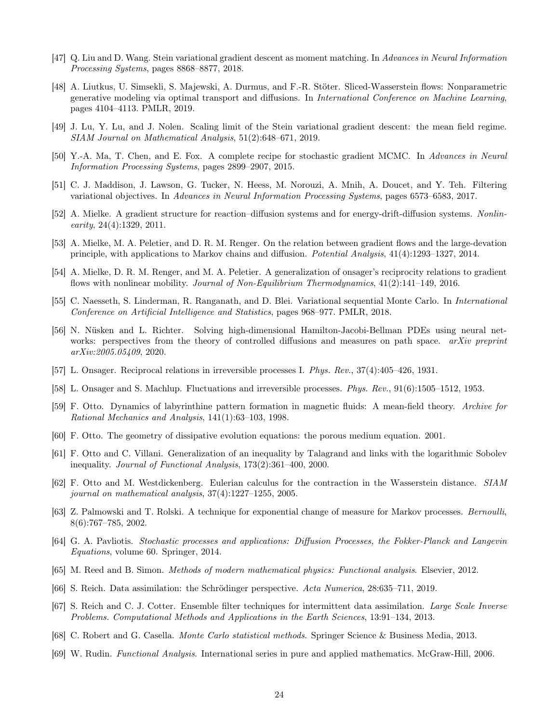- <span id="page-23-13"></span>[47] Q. Liu and D. Wang. Stein variational gradient descent as moment matching. In Advances in Neural Information Processing Systems, pages 8868–8877, 2018.
- <span id="page-23-17"></span>[48] A. Liutkus, U. Simsekli, S. Majewski, A. Durmus, and F.-R. Stöter. Sliced-Wasserstein flows: Nonparametric generative modeling via optimal transport and diffusions. In International Conference on Machine Learning, pages 4104–4113. PMLR, 2019.
- <span id="page-23-10"></span>[49] J. Lu, Y. Lu, and J. Nolen. Scaling limit of the Stein variational gradient descent: the mean field regime. SIAM Journal on Mathematical Analysis, 51(2):648–671, 2019.
- <span id="page-23-11"></span>[50] Y.-A. Ma, T. Chen, and E. Fox. A complete recipe for stochastic gradient MCMC. In Advances in Neural Information Processing Systems, pages 2899–2907, 2015.
- <span id="page-23-1"></span>[51] C. J. Maddison, J. Lawson, G. Tucker, N. Heess, M. Norouzi, A. Mnih, A. Doucet, and Y. Teh. Filtering variational objectives. In Advances in Neural Information Processing Systems, pages 6573–6583, 2017.
- <span id="page-23-22"></span>[52] A. Mielke. A gradient structure for reaction–diffusion systems and for energy-drift-diffusion systems. Nonlin- $\text{early}, 24(4):1329, 2011.$
- <span id="page-23-12"></span>[53] A. Mielke, M. A. Peletier, and D. R. M. Renger. On the relation between gradient flows and the large-devation principle, with applications to Markov chains and diffusion. Potential Analysis, 41(4):1293–1327, 2014.
- <span id="page-23-7"></span>[54] A. Mielke, D. R. M. Renger, and M. A. Peletier. A generalization of onsager's reciprocity relations to gradient flows with nonlinear mobility. Journal of Non-Equilibrium Thermodynamics,  $41(2):141-149$ , 2016.
- <span id="page-23-2"></span>[55] C. Naesseth, S. Linderman, R. Ranganath, and D. Blei. Variational sequential Monte Carlo. In International Conference on Artificial Intelligence and Statistics, pages 968–977. PMLR, 2018.
- <span id="page-23-19"></span>[56] N. Nüsken and L. Richter. Solving high-dimensional Hamilton-Jacobi-Bellman PDEs using neural networks: perspectives from the theory of controlled diffusions and measures on path space. *arXiv preprint* arXiv:2005.05409, 2020.
- <span id="page-23-8"></span>[57] L. Onsager. Reciprocal relations in irreversible processes I. Phys. Rev., 37(4):405–426, 1931.
- <span id="page-23-9"></span>[58] L. Onsager and S. Machlup. Fluctuations and irreversible processes. Phys. Rev., 91(6):1505–1512, 1953.
- <span id="page-23-15"></span>[59] F. Otto. Dynamics of labyrinthine pattern formation in magnetic fluids: A mean-field theory. Archive for Rational Mechanics and Analysis, 141(1):63–103, 1998.
- <span id="page-23-3"></span>[60] F. Otto. The geometry of dissipative evolution equations: the porous medium equation. 2001.
- <span id="page-23-16"></span>[61] F. Otto and C. Villani. Generalization of an inequality by Talagrand and links with the logarithmic Sobolev inequality. Journal of Functional Analysis, 173(2):361–400, 2000.
- <span id="page-23-4"></span>[62] F. Otto and M. Westdickenberg. Eulerian calculus for the contraction in the Wasserstein distance. SIAM journal on mathematical analysis, 37(4):1227–1255, 2005.
- <span id="page-23-21"></span>[63] Z. Palmowski and T. Rolski. A technique for exponential change of measure for Markov processes. Bernoulli, 8(6):767–785, 2002.
- <span id="page-23-5"></span>[64] G. A. Pavliotis. Stochastic processes and applications: Diffusion Processes, the Fokker-Planck and Langevin Equations, volume 60. Springer, 2014.
- <span id="page-23-14"></span>[65] M. Reed and B. Simon. Methods of modern mathematical physics: Functional analysis. Elsevier, 2012.
- <span id="page-23-20"></span>[66] S. Reich. Data assimilation: the Schrödinger perspective. Acta Numerica, 28:635–711, 2019.
- <span id="page-23-6"></span>[67] S. Reich and C. J. Cotter. Ensemble filter techniques for intermittent data assimilation. Large Scale Inverse Problems. Computational Methods and Applications in the Earth Sciences, 13:91–134, 2013.
- <span id="page-23-0"></span>[68] C. Robert and G. Casella. Monte Carlo statistical methods. Springer Science & Business Media, 2013.
- <span id="page-23-18"></span>[69] W. Rudin. Functional Analysis. International series in pure and applied mathematics. McGraw-Hill, 2006.